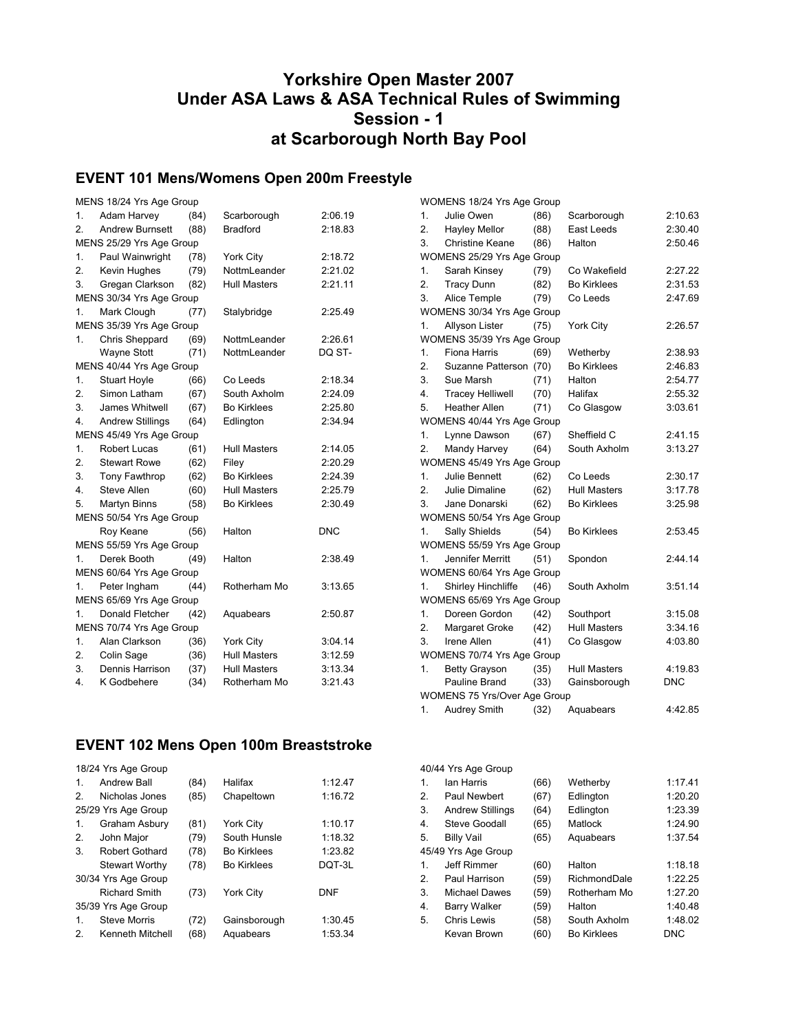## **Yorkshire Open Master 2007 Under ASA Laws & ASA Technical Rules of Swimming Session - 1 at Scarborough North Bay Pool**

## **EVENT 101 Mens/Womens Open 200m Freestyle**

|                  | MENS 18/24 Yrs Age Group |      |                     |            |  |
|------------------|--------------------------|------|---------------------|------------|--|
| 1.               | Adam Harvey              | (84) | Scarborough         | 2:06.19    |  |
| 2.               | <b>Andrew Burnsett</b>   | (88) | <b>Bradford</b>     | 2:18.83    |  |
|                  | MENS 25/29 Yrs Age Group |      |                     |            |  |
| 1.               | Paul Wainwright          | (78) | York City           | 2:18.72    |  |
| $\overline{2}$ . | Kevin Hughes             | (79) | NottmLeander        | 2:21.02    |  |
| 3.               | Gregan Clarkson          | (82) | <b>Hull Masters</b> | 2:21.11    |  |
|                  | MENS 30/34 Yrs Age Group |      |                     |            |  |
| 1.               | Mark Clough              | (77) | Stalybridge         | 2:25.49    |  |
|                  | MENS 35/39 Yrs Age Group |      |                     |            |  |
| 1.               | Chris Sheppard           | (69) | NottmLeander        | 2:26.61    |  |
|                  | <b>Wayne Stott</b>       | (71) | NottmLeander        | DQ ST-     |  |
|                  | MENS 40/44 Yrs Age Group |      |                     |            |  |
| 1.               | <b>Stuart Hoyle</b>      | (66) | Co Leeds            | 2:18.34    |  |
| $\overline{2}$ . | Simon Latham             | (67) | South Axholm        | 2:24.09    |  |
| 3.               | James Whitwell           | (67) | <b>Bo Kirklees</b>  | 2:25.80    |  |
| 4.               | Andrew Stillings         | (64) | Edlington           | 2:34.94    |  |
|                  | MENS 45/49 Yrs Age Group |      |                     |            |  |
| 1.               | <b>Robert Lucas</b>      | (61) | <b>Hull Masters</b> | 2:14.05    |  |
| 2.               | <b>Stewart Rowe</b>      | (62) | Filey               | 2:20.29    |  |
| 3.               | Tony Fawthrop            | (62) | <b>Bo Kirklees</b>  | 2:24.39    |  |
| 4.               | Steve Allen              | (60) | <b>Hull Masters</b> | 2:25.79    |  |
| 5.               | Martyn Binns             | (58) | <b>Bo Kirklees</b>  | 2:30.49    |  |
|                  | MENS 50/54 Yrs Age Group |      |                     |            |  |
|                  | Roy Keane                | (56) | Halton              | <b>DNC</b> |  |
|                  | MENS 55/59 Yrs Age Group |      |                     |            |  |
| 1.               | Derek Booth              | (49) | Halton              | 2:38.49    |  |
|                  | MENS 60/64 Yrs Age Group |      |                     |            |  |
| 1.               | Peter Ingham             | (44) | Rotherham Mo        | 3:13.65    |  |
|                  | MENS 65/69 Yrs Age Group |      |                     |            |  |
| 1.               | <b>Donald Fletcher</b>   | (42) | Aquabears           | 2:50.87    |  |
|                  | MENS 70/74 Yrs Age Group |      |                     |            |  |
| 1.               | Alan Clarkson            | (36) | York City           | 3:04.14    |  |
| 2.               | Colin Sage               | (36) | <b>Hull Masters</b> | 3:12.59    |  |
| 3.               | Dennis Harrison          | (37) | <b>Hull Masters</b> | 3:13.34    |  |
| 4.               | K Godbehere              | (34) | Rotherham Mo        | 3:21.43    |  |

## **EVENT 102 Mens Open 100m Breaststroke**

|                     | 18/24 Yrs Age Group     |      |                    |            |  |
|---------------------|-------------------------|------|--------------------|------------|--|
| 1.                  | Andrew Ball             | (84) | Halifax            | 1:12.47    |  |
| $\mathcal{P}$       | Nicholas Jones          | (85) | Chapeltown         | 1:16.72    |  |
|                     | 25/29 Yrs Age Group     |      |                    |            |  |
| 1.                  | Graham Asbury           | (81) | <b>York City</b>   | 1:10.17    |  |
| 2.                  | John Major              | (79) | South Hunsle       | 1:18.32    |  |
| 3.                  | Robert Gothard          | (78) | <b>Bo Kirklees</b> | 1:23.82    |  |
|                     | <b>Stewart Worthy</b>   | (78) | <b>Bo Kirklees</b> | DQT-3L     |  |
|                     | 30/34 Yrs Age Group     |      |                    |            |  |
|                     | <b>Richard Smith</b>    | (73) | <b>York City</b>   | <b>DNF</b> |  |
| 35/39 Yrs Age Group |                         |      |                    |            |  |
| 1.                  | <b>Steve Morris</b>     | (72) | Gainsborough       | 1:30.45    |  |
| 2.                  | <b>Kenneth Mitchell</b> | (68) | Aquabears          | 1:53.34    |  |

|                  | WOMENS 18/24 Yrs Age Group   |      |                     |            |
|------------------|------------------------------|------|---------------------|------------|
| 1.               | Julie Owen                   | (86) | Scarborough         | 2:10.63    |
| 2.               | <b>Hayley Mellor</b>         | (88) | East Leeds          | 2:30.40    |
| 3.               | <b>Christine Keane</b>       | (86) | Halton              | 2:50.46    |
|                  | WOMENS 25/29 Yrs Age Group   |      |                     |            |
| 1.               | Sarah Kinsey                 | (79) | Co Wakefield        | 2:27.22    |
| 2.               | <b>Tracy Dunn</b>            | (82) | <b>Bo Kirklees</b>  | 2:31.53    |
| 3.               | Alice Temple                 | (79) | Co Leeds            | 2:47.69    |
|                  | WOMENS 30/34 Yrs Age Group   |      |                     |            |
| 1.               | Allyson Lister               | (75) | York City           | 2:26.57    |
|                  | WOMENS 35/39 Yrs Age Group   |      |                     |            |
| 1.               | Fiona Harris                 | (69) | Wetherby            | 2:38.93    |
| $\overline{2}$ . | Suzanne Patterson (70)       |      | <b>Bo Kirklees</b>  | 2:46.83    |
| 3.               | Sue Marsh                    | (71) | Halton              | 2:54.77    |
| 4.               | <b>Tracey Helliwell</b>      | (70) | Halifax             | 2:55.32    |
| 5.               | <b>Heather Allen</b>         | (71) | Co Glasgow          | 3:03.61    |
|                  | WOMENS 40/44 Yrs Age Group   |      |                     |            |
| 1.               | Lynne Dawson                 | (67) | Sheffield C         | 2:41.15    |
| 2.               | Mandy Harvey                 | (64) | South Axholm        | 3:13.27    |
|                  | WOMENS 45/49 Yrs Age Group   |      |                     |            |
| 1.               | Julie Bennett                | (62) | Co Leeds            | 2:30.17    |
| 2.               | Julie Dimaline               | (62) | Hull Masters        | 3:17.78    |
| 3.               | Jane Donarski                | (62) | <b>Bo Kirklees</b>  | 3:25.98    |
|                  | WOMENS 50/54 Yrs Age Group   |      |                     |            |
| 1.               | Sally Shields                | (54) | <b>Bo Kirklees</b>  | 2:53.45    |
|                  | WOMENS 55/59 Yrs Age Group   |      |                     |            |
| 1.               | Jennifer Merritt             | (51) | Spondon             | 2:44.14    |
|                  | WOMENS 60/64 Yrs Age Group   |      |                     |            |
| 1.               | <b>Shirley Hinchliffe</b>    | (46) | South Axholm        | 3:51.14    |
|                  | WOMENS 65/69 Yrs Age Group   |      |                     |            |
| 1.               | Doreen Gordon                | (42) | Southport           | 3:15.08    |
| 2.               | Margaret Groke               | (42) | <b>Hull Masters</b> | 3:34.16    |
| 3.               | Irene Allen                  | (41) | Co Glasgow          | 4:03.80    |
|                  | WOMENS 70/74 Yrs Age Group   |      |                     |            |
| 1.               | Betty Grayson                | (35) | <b>Hull Masters</b> | 4:19.83    |
|                  | Pauline Brand                | (33) | Gainsborough        | <b>DNC</b> |
|                  | WOMENS 75 Yrs/Over Age Group |      |                     |            |
| 1.               | Audrey Smith                 | (32) | Aquabears           | 4:42.85    |

|    | 40/44 Yrs Age Group     |      |                    |            |
|----|-------------------------|------|--------------------|------------|
| 1. | lan Harris              | (66) | Wetherby           | 1:17.41    |
| 2. | Paul Newbert            | (67) | Edlington          | 1:20.20    |
| 3. | <b>Andrew Stillings</b> | (64) | Edlington          | 1:23.39    |
| 4. | Steve Goodall           | (65) | Matlock            | 1:24.90    |
| 5. | <b>Billy Vail</b>       | (65) | Aquabears          | 1:37.54    |
|    | 45/49 Yrs Age Group     |      |                    |            |
| 1. | Jeff Rimmer             | (60) | Halton             | 1:18.18    |
| 2. | Paul Harrison           | (59) | RichmondDale       | 1:22.25    |
| 3. | <b>Michael Dawes</b>    | (59) | Rotherham Mo       | 1:27.20    |
| 4. | <b>Barry Walker</b>     | (59) | Halton             | 1:40.48    |
| 5. | <b>Chris Lewis</b>      | (58) | South Axholm       | 1:48.02    |
|    | Kevan Brown             | (60) | <b>Bo Kirklees</b> | <b>DNC</b> |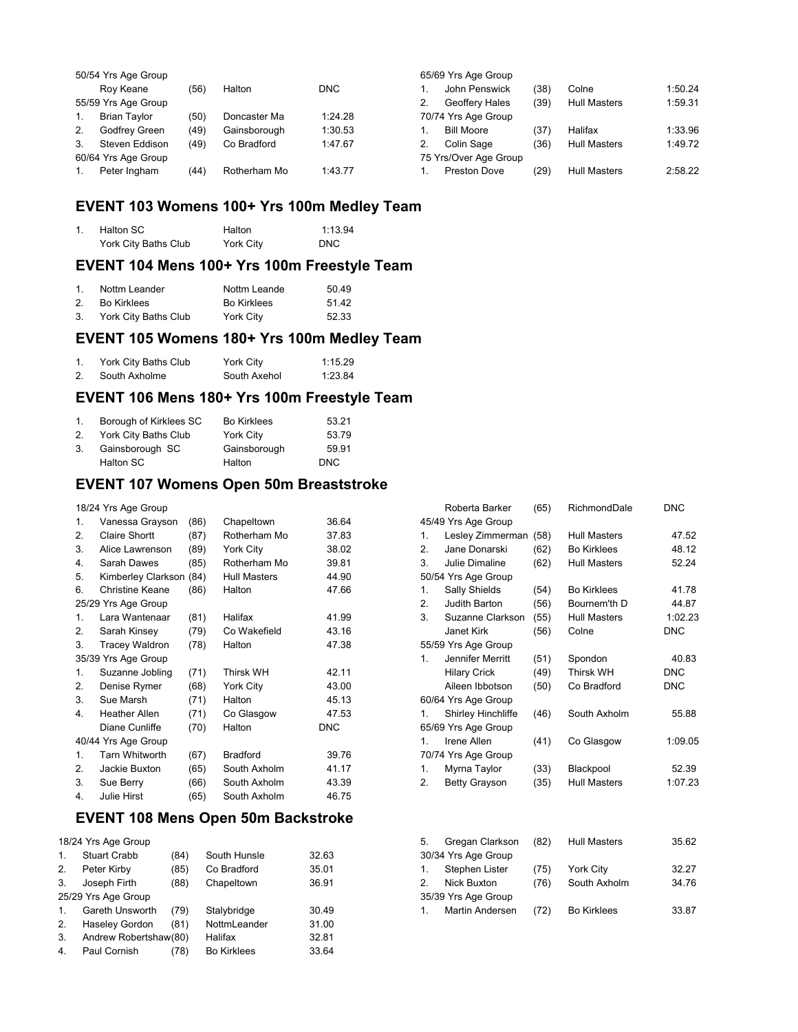|    | 50/54 Yrs Age Group |      |              |            |    | 65/69 Yrs Age Group   |      |                     |         |
|----|---------------------|------|--------------|------------|----|-----------------------|------|---------------------|---------|
|    | Rov Keane           | (56) | Halton       | <b>DNC</b> |    | John Penswick         | (38) | Colne               | 1:50.24 |
|    | 55/59 Yrs Age Group |      |              |            | 2. | Geoffery Hales        | (39) | <b>Hull Masters</b> | 1:59.31 |
| 1. | <b>Brian Tavlor</b> | (50) | Doncaster Ma | 1:24.28    |    | 70/74 Yrs Age Group   |      |                     |         |
| 2. | Godfrey Green       | (49) | Gainsborough | 1:30.53    |    | <b>Bill Moore</b>     | (37) | Halifax             | 1:33.96 |
| 3. | Steven Eddison      | (49) | Co Bradford  | 1:47.67    |    | Colin Sage            | (36) | <b>Hull Masters</b> | 1:49.72 |
|    | 60/64 Yrs Age Group |      |              |            |    | 75 Yrs/Over Age Group |      |                     |         |
|    | Peter Ingham        | (44) | Rotherham Mo | 1:43.77    |    | Preston Dove          | (29) | <b>Hull Masters</b> | 2:58.22 |

## **EVENT 103 Womens 100+ Yrs 100m Medley Team**

| Halton SC            | Halton    | 1:13.94    |
|----------------------|-----------|------------|
| York City Baths Club | York City | <b>DNC</b> |

### **EVENT 104 Mens 100+ Yrs 100m Freestyle Team**

|    | Nottm Leander        | Nottm Leande | 50.49 |
|----|----------------------|--------------|-------|
|    | Bo Kirklees          | Bo Kirklees  | 51.42 |
| 3. | York City Baths Club | York City    | 52.33 |

## **EVENT 105 Womens 180+ Yrs 100m Medley Team**

| York City Baths Club | York City    | 1:15.29 |
|----------------------|--------------|---------|
| South Axholme        | South Axehol | 1:23.84 |

## **EVENT 106 Mens 180+ Yrs 100m Freestyle Team**

| $1_{\cdot}$ | Borough of Kirklees SC | <b>Bo Kirklees</b> | 53.21 |
|-------------|------------------------|--------------------|-------|
| 2.          | York City Baths Club   | York City          | 53.79 |
| 3.          | Gainsborough SC        | Gainsborough       | 59.91 |
|             | Halton SC              | Halton             | DNC.  |

### **EVENT 107 Womens Open 50m Breaststroke**

18/24 Yrs Age Group

| $\mathbf{1}$ . | Vanessa Grayson        | (86) | Chapeltown          | 36.64      |
|----------------|------------------------|------|---------------------|------------|
| 2.             | Claire Shortt          | (87) | Rotherham Mo        | 37.83      |
| 3.             | Alice Lawrenson        | (89) | York City           | 38.02      |
| 4.             | Sarah Dawes            | (85) | Rotherham Mo        | 39.81      |
| 5.             | Kimberley Clarkson     | (84) | <b>Hull Masters</b> | 44.90      |
| 6.             | <b>Christine Keane</b> | (86) | Halton              | 47.66      |
|                | 25/29 Yrs Age Group    |      |                     |            |
| 1.             | Lara Wantenaar         | (81) | Halifax             | 41.99      |
| 2.             | Sarah Kinsey           | (79) | Co Wakefield        | 43.16      |
| 3.             | <b>Tracey Waldron</b>  | (78) | Halton              | 47.38      |
|                | 35/39 Yrs Age Group    |      |                     |            |
| 1.             | Suzanne Jobling        | (71) | <b>Thirsk WH</b>    | 42.11      |
| 2.             | Denise Rymer           | (68) | York City           | 43.00      |
| 3.             | Sue Marsh              | (71) | Halton              | 45.13      |
| 4.             | <b>Heather Allen</b>   | (71) | Co Glasgow          | 47.53      |
|                | Diane Cunliffe         | (70) | Halton              | <b>DNC</b> |
|                | 40/44 Yrs Age Group    |      |                     |            |
| 1.             | <b>Tarn Whitworth</b>  | (67) | <b>Bradford</b>     | 39.76      |
| 2.             | Jackie Buxton          | (65) | South Axholm        | 41.17      |
| 3.             | Sue Berry              | (66) | South Axholm        | 43.39      |
| 4.             | <b>Julie Hirst</b>     | (65) | South Axholm        | 46.75      |

### **EVENT 108 Mens Open 50m Backstroke**

|    | 18/24 Yrs Age Group   |      |                    |       |  |  |
|----|-----------------------|------|--------------------|-------|--|--|
| 1. | <b>Stuart Crabb</b>   | (84) | South Hunsle       | 32.63 |  |  |
| 2. | Peter Kirby           | (85) | Co Bradford        | 35.01 |  |  |
| 3. | Joseph Firth          | (88) | Chapeltown         | 36.91 |  |  |
|    | 25/29 Yrs Age Group   |      |                    |       |  |  |
| 1. | Gareth Unsworth       | (79) | Stalybridge        | 30.49 |  |  |
| 2. | <b>Haseley Gordon</b> | (81) | NottmLeander       | 31.00 |  |  |
| 3. | Andrew Robertshaw(80) |      | Halifax            | 32.81 |  |  |
| 4. | Paul Cornish          | (78) | <b>Bo Kirklees</b> | 33.64 |  |  |
|    |                       |      |                    |       |  |  |

|                  | Roberta Barker       | (65) | RichmondDale        | <b>DNC</b> |
|------------------|----------------------|------|---------------------|------------|
|                  | 45/49 Yrs Age Group  |      |                     |            |
| 1.               | Lesley Zimmerman     | (58) | <b>Hull Masters</b> | 47.52      |
| $\overline{2}$ . | Jane Donarski        | (62) | <b>Bo Kirklees</b>  | 48.12      |
| 3.               | Julie Dimaline       | (62) | <b>Hull Masters</b> | 52.24      |
|                  | 50/54 Yrs Age Group  |      |                     |            |
| 1.               | Sally Shields        | (54) | <b>Bo Kirklees</b>  | 41.78      |
| 2.               | Judith Barton        | (56) | Bournem'th D        | 44.87      |
| 3.               | Suzanne Clarkson     | (55) | <b>Hull Masters</b> | 1:02.23    |
|                  | Janet Kirk           | (56) | Colne               | <b>DNC</b> |
|                  | 55/59 Yrs Age Group  |      |                     |            |
| 1.               | Jennifer Merritt     | (51) | Spondon             | 40.83      |
|                  | <b>Hilary Crick</b>  | (49) | <b>Thirsk WH</b>    | <b>DNC</b> |
|                  | Aileen Ibbotson      | (50) | Co Bradford         | <b>DNC</b> |
|                  | 60/64 Yrs Age Group  |      |                     |            |
| 1.               | Shirley Hinchliffe   | (46) | South Axholm        | 55.88      |
|                  | 65/69 Yrs Age Group  |      |                     |            |
| 1.               | Irene Allen          | (41) | Co Glasgow          | 1:09.05    |
|                  | 70/74 Yrs Age Group  |      |                     |            |
| 1.               | Myrna Taylor         | (33) | Blackpool           | 52.39      |
| 2.               | <b>Betty Grayson</b> | (35) | <b>Hull Masters</b> | 1:07.23    |
|                  |                      |      |                     |            |
|                  |                      |      |                     |            |
|                  |                      |      |                     |            |
| 5.               | Gregan Clarkson      | (82) | <b>Hull Masters</b> | 35.62      |
|                  | 30/34 Yrs Age Group  |      |                     |            |
| 1.               | Stephen Lister       | (75) | York City           | 32.27      |
| 2.               | Nick Buxton          | (76) | South Axholm        | 34.76      |
|                  | 35/39 Yrs Age Group  |      |                     |            |
| 1.               | Martin Andersen      | (72) | <b>Bo Kirklees</b>  | 33.87      |
|                  |                      |      |                     |            |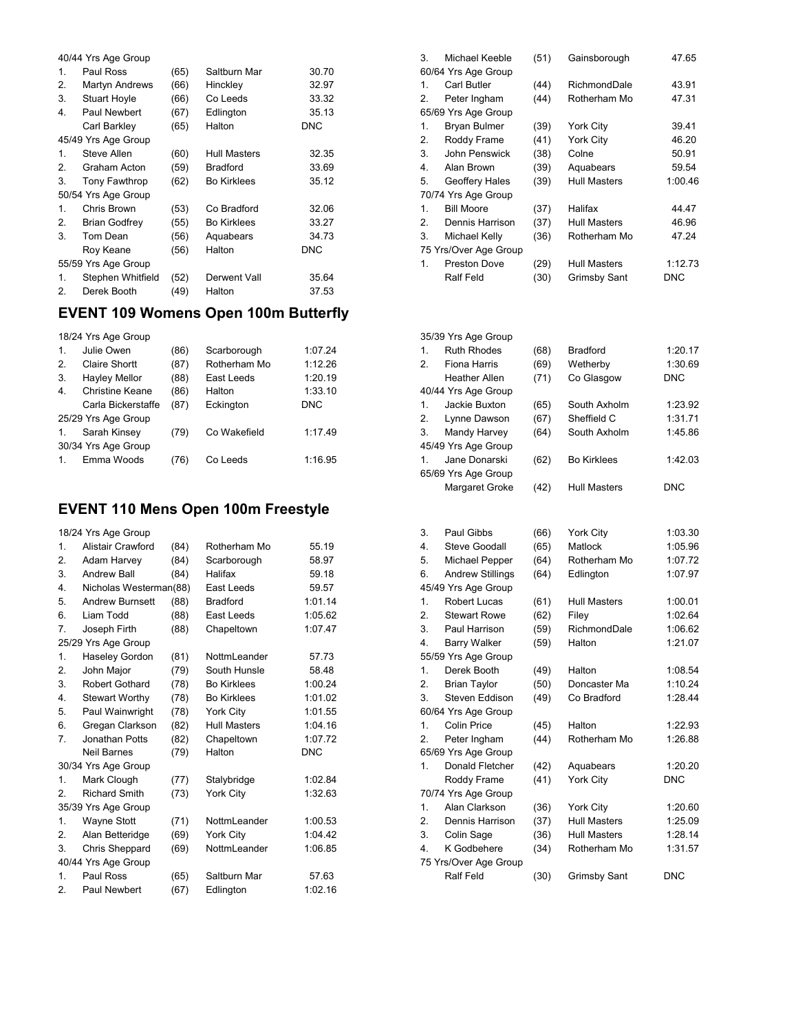|                | 40/44 Yrs Age Group  |      |                     |            |
|----------------|----------------------|------|---------------------|------------|
| 1.             | Paul Ross            | (65) | Saltburn Mar        | 30.70      |
| 2.             | Martyn Andrews       | (66) | Hinckley            | 32.97      |
| 3.             | <b>Stuart Hoyle</b>  | (66) | Co Leeds            | 33.32      |
| 4.             | Paul Newbert         | (67) | Edlington           | 35.13      |
|                | Carl Barkley         | (65) | Halton              | <b>DNC</b> |
|                | 45/49 Yrs Age Group  |      |                     |            |
| $\mathbf{1}$ . | Steve Allen          | (60) | <b>Hull Masters</b> | 32.35      |
| 2.             | Graham Acton         | (59) | <b>Bradford</b>     | 33.69      |
| 3.             | Tony Fawthrop        | (62) | <b>Bo Kirklees</b>  | 35.12      |
|                | 50/54 Yrs Age Group  |      |                     |            |
| $\mathbf{1}$ . | Chris Brown          | (53) | Co Bradford         | 32.06      |
| 2.             | <b>Brian Godfrey</b> | (55) | <b>Bo Kirklees</b>  | 33.27      |
| 3.             | Tom Dean             | (56) | Aquabears           | 34.73      |
|                | Roy Keane            | (56) | Halton              | DNC        |
|                | 55/59 Yrs Age Group  |      |                     |            |
| $\mathbf{1}$ . | Stephen Whitfield    | (52) | Derwent Vall        | 35.64      |
| 2.             | Derek Booth          | (49) | Halton              | 37.53      |
|                |                      |      |                     |            |

## **EVENT 109 Womens Open 100m Butterfly**

|                | 18/24 Yrs Age Group  |      |              |            |
|----------------|----------------------|------|--------------|------------|
| $\mathbf{1}$ . | Julie Owen           | (86) | Scarborough  | 1:07.24    |
| 2.             | Claire Shortt        | (87) | Rotherham Mo | 1:12.26    |
| 3.             | <b>Hayley Mellor</b> | (88) | East Leeds   | 1:20.19    |
| 4.             | Christine Keane      | (86) | Halton       | 1:33.10    |
|                | Carla Bickerstaffe   | (87) | Eckington    | <b>DNC</b> |
|                | 25/29 Yrs Age Group  |      |              |            |
| 1.             | Sarah Kinsey         | (79) | Co Wakefield | 1:17.49    |
|                | 30/34 Yrs Age Group  |      |              |            |
|                | Emma Woods           | 76   | Co Leeds     | 1:16.95    |

## **EVENT 110 Mens Open 100m Freestyle**

|                  | 18/24 Yrs Age Group    |      |                     |            |
|------------------|------------------------|------|---------------------|------------|
| $\mathbf{1}$ .   | Alistair Crawford      | (84) | Rotherham Mo        | 55.19      |
| 2.               | Adam Harvey            | (84) | Scarborough         | 58.97      |
| 3.               | <b>Andrew Ball</b>     | (84) | Halifax             | 59.18      |
| 4.               | Nicholas Westerman(88) |      | East Leeds          | 59.57      |
| 5.               | <b>Andrew Burnsett</b> | (88) | <b>Bradford</b>     | 1:01.14    |
| 6.               | Liam Todd              | (88) | East Leeds          | 1:05.62    |
| 7.               | Joseph Firth           | (88) | Chapeltown          | 1:07.47    |
|                  | 25/29 Yrs Age Group    |      |                     |            |
| 1.               | <b>Haseley Gordon</b>  | (81) | NottmLeander        | 57.73      |
| 2.               | John Major             | (79) | South Hunsle        | 58.48      |
| 3.               | Robert Gothard         | (78) | <b>Bo Kirklees</b>  | 1:00.24    |
| $\overline{4}$ . | <b>Stewart Worthy</b>  | (78) | <b>Bo Kirklees</b>  | 1:01.02    |
| 5.               | Paul Wainwright        | (78) | York City           | 1:01.55    |
| 6.               | Gregan Clarkson        | (82) | <b>Hull Masters</b> | 1:04.16    |
| 7.               | Jonathan Potts         | (82) | Chapeltown          | 1:07.72    |
|                  | Neil Barnes            | (79) | Halton              | <b>DNC</b> |
|                  | 30/34 Yrs Age Group    |      |                     |            |
| 1.               | Mark Clough            | (77) | Stalybridge         | 1:02.84    |
| 2.               | <b>Richard Smith</b>   | (73) | York City           | 1:32.63    |
|                  | 35/39 Yrs Age Group    |      |                     |            |
| 1.               | <b>Wayne Stott</b>     | (71) | NottmLeander        | 1:00.53    |
| 2.               | Alan Betteridge        | (69) | York City           | 1:04.42    |
| 3.               | Chris Sheppard         | (69) | NottmLeander        | 1:06.85    |
|                  | 40/44 Yrs Age Group    |      |                     |            |
| 1.               | Paul Ross              | (65) | Saltburn Mar        | 57.63      |
| 2.               | Paul Newbert           | (67) | Edlington           | 1:02.16    |

| 3.             | Michael Keeble        | (51) | Gainsborough        | 47.65   |
|----------------|-----------------------|------|---------------------|---------|
|                | 60/64 Yrs Age Group   |      |                     |         |
| $\mathbf{1}$ . | Carl Butler           | (44) | RichmondDale        | 43.91   |
| 2.             | Peter Ingham          | (44) | Rotherham Mo        | 47.31   |
|                | 65/69 Yrs Age Group   |      |                     |         |
| 1.             | <b>Bryan Bulmer</b>   | (39) | <b>York City</b>    | 39.41   |
| 2.             | Roddy Frame           | (41) | York City           | 46.20   |
| 3.             | John Penswick         | (38) | Colne               | 50.91   |
| 4.             | Alan Brown            | (39) | Aquabears           | 59.54   |
| 5.             | Geoffery Hales        | (39) | <b>Hull Masters</b> | 1:00.46 |
|                | 70/74 Yrs Age Group   |      |                     |         |
| $\mathbf{1}$ . | <b>Bill Moore</b>     | (37) | Halifax             | 44.47   |
| 2.             | Dennis Harrison       | (37) | <b>Hull Masters</b> | 46.96   |
| 3.             | Michael Kelly         | (36) | Rotherham Mo        | 47.24   |
|                | 75 Yrs/Over Age Group |      |                     |         |
| 1.             | <b>Preston Dove</b>   | (29) | <b>Hull Masters</b> | 1:12.73 |
|                | Ralf Feld             | (30) | <b>Grimsby Sant</b> | DNC     |

|    | 35/39 Yrs Age Group |      |                     |            |
|----|---------------------|------|---------------------|------------|
| 1. | <b>Ruth Rhodes</b>  | (68) | <b>Bradford</b>     | 1:20.17    |
| 2. | Fiona Harris        | (69) | Wetherby            | 1:30.69    |
|    | Heather Allen       | (71) | Co Glasgow          | <b>DNC</b> |
|    | 40/44 Yrs Age Group |      |                     |            |
| 1. | Jackie Buxton       | (65) | South Axholm        | 1:23.92    |
| 2. | Lynne Dawson        | (67) | Sheffield C         | 1:31.71    |
| 3. | Mandy Harvey        | (64) | South Axholm        | 1:45.86    |
|    | 45/49 Yrs Age Group |      |                     |            |
| 1. | Jane Donarski       | (62) | <b>Bo Kirklees</b>  | 1:42.03    |
|    | 65/69 Yrs Age Group |      |                     |            |
|    | Margaret Groke      | (42) | <b>Hull Masters</b> | <b>DNC</b> |
|    |                     |      |                     |            |

| 3.               | Paul Gibbs              | (66) | <b>York City</b>    | 1:03.30    |
|------------------|-------------------------|------|---------------------|------------|
| $\overline{4}$ . | Steve Goodall           | (65) | Matlock             | 1:05.96    |
| 5.               | Michael Pepper          | (64) | Rotherham Mo        | 1:07.72    |
| 6.               | <b>Andrew Stillings</b> | (64) | Edlington           | 1:07.97    |
|                  | 45/49 Yrs Age Group     |      |                     |            |
| $\mathbf{1}$ .   | Robert Lucas            | (61) | <b>Hull Masters</b> | 1:00.01    |
| 2.               | <b>Stewart Rowe</b>     | (62) | Filey               | 1:02.64    |
| 3.               | Paul Harrison           | (59) | RichmondDale        | 1:06.62    |
| 4.               | <b>Barry Walker</b>     | (59) | Halton              | 1:21.07    |
|                  | 55/59 Yrs Age Group     |      |                     |            |
| 1.               | Derek Booth             | (49) | Halton              | 1:08.54    |
| 2.               | <b>Brian Taylor</b>     | (50) | Doncaster Ma        | 1:10.24    |
| 3.               | Steven Eddison          | (49) | Co Bradford         | 1:28.44    |
|                  | 60/64 Yrs Age Group     |      |                     |            |
| 1.               | Colin Price             | (45) | Halton              | 1:22.93    |
| 2.               | Peter Ingham            | (44) | Rotherham Mo        | 1:26.88    |
|                  | 65/69 Yrs Age Group     |      |                     |            |
| 1.               | Donald Fletcher         | (42) | Aquabears           | 1:20.20    |
|                  | Roddy Frame             | (41) | <b>York City</b>    | <b>DNC</b> |
|                  | 70/74 Yrs Age Group     |      |                     |            |
| $\mathbf{1}$ .   | Alan Clarkson           | (36) | <b>York City</b>    | 1:20.60    |
| 2.               | Dennis Harrison         | (37) | <b>Hull Masters</b> | 1:25.09    |
| 3.               | Colin Sage              | (36) | <b>Hull Masters</b> | 1:28.14    |
| 4.               | K Godbehere             | (34) | Rotherham Mo        | 1:31.57    |
|                  | 75 Yrs/Over Age Group   |      |                     |            |
|                  | Ralf Feld               | (30) | Grimsby Sant        | <b>DNC</b> |
|                  |                         |      |                     |            |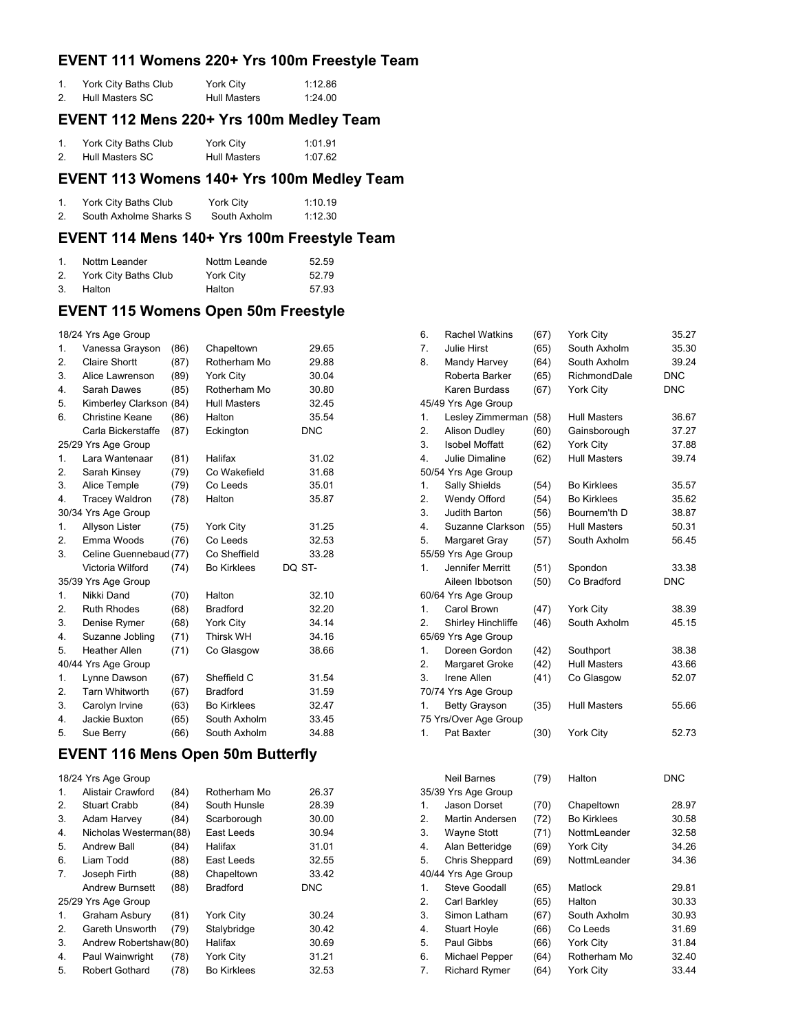## **EVENT 111 Womens 220+ Yrs 100m Freestyle Team**

| York City Baths Club | York City           | 1:12.86 |
|----------------------|---------------------|---------|
| Hull Masters SC      | <b>Hull Masters</b> | 1:24.00 |

### **EVENT 112 Mens 220+ Yrs 100m Medley Team**

| York City Baths Club | York City           | 1:01.91 |
|----------------------|---------------------|---------|
| Hull Masters SC      | <b>Hull Masters</b> | 1:07.62 |

### **EVENT 113 Womens 140+ Yrs 100m Medley Team**

| York City Baths Club   | York City    | 1:10.19 |
|------------------------|--------------|---------|
| South Axholme Sharks S | South Axholm | 1:12.30 |

## **EVENT 114 Mens 140+ Yrs 100m Freestyle Team**

| $1_{-}$ | Nottm Leander           | Nottm Leande | 52.59 |
|---------|-------------------------|--------------|-------|
|         | 2. York City Baths Club | York City    | 52.79 |
| 3.      | Halton                  | Halton       | 57.93 |

### **EVENT 115 Womens Open 50m Freestyle**

|  |  |  | 18/24 Yrs Age Group |
|--|--|--|---------------------|
|--|--|--|---------------------|

| 1.               | Vanessa Grayson        | (86) | Chapeltown          | 29.65      |
|------------------|------------------------|------|---------------------|------------|
| 2.               | Claire Shortt          | (87) | Rotherham Mo        | 29.88      |
| 3.               | Alice Lawrenson        | (89) | York City           | 30.04      |
| 4.               | Sarah Dawes            | (85) | Rotherham Mo        | 30.80      |
| 5.               | Kimberley Clarkson     | (84) | <b>Hull Masters</b> | 32.45      |
| 6.               | <b>Christine Keane</b> | (86) | Halton              | 35.54      |
|                  | Carla Bickerstaffe     | (87) | Eckington           | <b>DNC</b> |
|                  | 25/29 Yrs Age Group    |      |                     |            |
| 1.               | Lara Wantenaar         | (81) | Halifax             | 31.02      |
| 2.               | Sarah Kinsey           | (79) | Co Wakefield        | 31.68      |
| 3.               | Alice Temple           | (79) | Co Leeds            | 35.01      |
| 4.               | <b>Tracey Waldron</b>  | (78) | Halton              | 35.87      |
|                  | 30/34 Yrs Age Group    |      |                     |            |
| 1.               | Allyson Lister         | (75) | York City           | 31.25      |
| 2.               | Emma Woods             | (76) | Co Leeds            | 32.53      |
| 3.               | Celine Guennebaud (77) |      | Co Sheffield        | 33.28      |
|                  | Victoria Wilford       | (74) | <b>Bo Kirklees</b>  | DQ ST-     |
|                  | 35/39 Yrs Age Group    |      |                     |            |
| 1.               | Nikki Dand             | (70) | Halton              | 32.10      |
| 2.               | <b>Ruth Rhodes</b>     | (68) | <b>Bradford</b>     | 32.20      |
| 3.               | Denise Rymer           | (68) | York City           | 34.14      |
| 4.               | Suzanne Jobling        | (71) | <b>Thirsk WH</b>    | 34.16      |
| 5.               | <b>Heather Allen</b>   | (71) | Co Glasgow          | 38.66      |
|                  | 40/44 Yrs Age Group    |      |                     |            |
| 1.               | Lynne Dawson           | (67) | Sheffield C         | 31.54      |
| 2.               | <b>Tarn Whitworth</b>  | (67) | <b>Bradford</b>     | 31.59      |
| 3.               | Carolyn Irvine         | (63) | <b>Bo Kirklees</b>  | 32.47      |
| $\overline{4}$ . | Jackie Buxton          | (65) | South Axholm        | 33.45      |
| 5.               | Sue Berry              | (66) | South Axholm        | 34.88      |

#### **EVENT 116 Mens Open 50m Butterfly**

18/24 Yrs Age Group 1. Alistair Crawford (84) Rotherham Mo 26.37

|    | 100                    | , . <i>. .</i> | .                  |            |
|----|------------------------|----------------|--------------------|------------|
| 2. | <b>Stuart Crabb</b>    | (84)           | South Hunsle       | 28.39      |
| 3. | Adam Harvey            | (84)           | Scarborough        | 30.00      |
| 4. | Nicholas Westerman(88) |                | East Leeds         | 30.94      |
| 5. | Andrew Ball            | (84)           | Halifax            | 31.01      |
| 6. | Liam Todd              | (88)           | East Leeds         | 32.55      |
| 7. | Joseph Firth           | (88)           | Chapeltown         | 33.42      |
|    | <b>Andrew Burnsett</b> | (88)           | <b>Bradford</b>    | <b>DNC</b> |
|    | 25/29 Yrs Age Group    |                |                    |            |
| 1. | Graham Asbury          | (81)           | York City          | 30.24      |
| 2. | Gareth Unsworth        | (79)           | Stalybridge        | 30.42      |
| 3. | Andrew Robertshaw(80)  |                | Halifax            | 30.69      |
| 4. | Paul Wainwright        | (78)           | York City          | 31.21      |
| 5. | <b>Robert Gothard</b>  | (78)           | <b>Bo Kirklees</b> | 32.53      |
|    |                        |                |                    |            |

| 6.               | <b>Rachel Watkins</b>     | (67) | York City           | 35.27      |
|------------------|---------------------------|------|---------------------|------------|
| 7.               | <b>Julie Hirst</b>        | (65) | South Axholm        | 35.30      |
| 8.               | Mandy Harvey              | (64) | South Axholm        | 39.24      |
|                  | Roberta Barker            | (65) | RichmondDale        | <b>DNC</b> |
|                  | Karen Burdass             | (67) | York City           | <b>DNC</b> |
|                  | 45/49 Yrs Age Group       |      |                     |            |
| 1.               | Lesley Zimmerman          | (58) | <b>Hull Masters</b> | 36.67      |
| 2.               | Alison Dudley             | (60) | Gainsborough        | 37.27      |
| 3.               | <b>Isobel Moffatt</b>     | (62) | York City           | 37.88      |
| $\overline{4}$ . | Julie Dimaline            | (62) | <b>Hull Masters</b> | 39.74      |
|                  | 50/54 Yrs Age Group       |      |                     |            |
| 1.               | Sally Shields             | (54) | <b>Bo Kirklees</b>  | 35.57      |
| 2.               | Wendy Offord              | (54) | <b>Bo Kirklees</b>  | 35.62      |
| 3.               | Judith Barton             | (56) | Bournem'th D        | 38.87      |
| 4.               | Suzanne Clarkson          | (55) | <b>Hull Masters</b> | 50.31      |
| 5.               | Margaret Gray             | (57) | South Axholm        | 56.45      |
|                  | 55/59 Yrs Age Group       |      |                     |            |
| 1.               | <b>Jennifer Merritt</b>   | (51) | Spondon             | 33.38      |
|                  | Aileen Ibbotson           | (50) | Co Bradford         | <b>DNC</b> |
|                  | 60/64 Yrs Age Group       |      |                     |            |
| 1.               | Carol Brown               | (47) | York City           | 38.39      |
| 2.               | <b>Shirley Hinchliffe</b> | (46) | South Axholm        | 45.15      |
|                  | 65/69 Yrs Age Group       |      |                     |            |
| 1.               | Doreen Gordon             | (42) | Southport           | 38.38      |
| 2.               | Margaret Groke            | (42) | <b>Hull Masters</b> | 43.66      |
| 3.               | Irene Allen               | (41) | Co Glasgow          | 52.07      |
|                  | 70/74 Yrs Age Group       |      |                     |            |
| 1.               | <b>Betty Grayson</b>      | (35) | <b>Hull Masters</b> | 55.66      |
|                  | 75 Yrs/Over Age Group     |      |                     |            |
| 1.               | Pat Baxter                | (30) | York City           | 52.73      |
|                  |                           |      |                     |            |
|                  |                           |      |                     |            |

|    | <b>Neil Barnes</b>   | (79) | Halton             | <b>DNC</b> |
|----|----------------------|------|--------------------|------------|
|    | 35/39 Yrs Age Group  |      |                    |            |
| 1. | Jason Dorset         | (70) | Chapeltown         | 28.97      |
| 2. | Martin Andersen      | (72) | <b>Bo Kirklees</b> | 30.58      |
| 3. | <b>Wayne Stott</b>   | (71) | NottmLeander       | 32.58      |
| 4. | Alan Betteridge      | (69) | <b>York City</b>   | 34.26      |
| 5. | Chris Sheppard       | (69) | NottmLeander       | 34.36      |
|    | 40/44 Yrs Age Group  |      |                    |            |
| 1. | <b>Steve Goodall</b> | (65) | Matlock            | 29.81      |
| 2. | Carl Barkley         | (65) | Halton             | 30.33      |
| 3. | Simon Latham         | (67) | South Axholm       | 30.93      |
| 4. | <b>Stuart Hoyle</b>  | (66) | Co Leeds           | 31.69      |
| 5. | Paul Gibbs           | (66) | <b>York City</b>   | 31.84      |
| 6. | Michael Pepper       | (64) | Rotherham Mo       | 32.40      |
| 7. | <b>Richard Rymer</b> | (64) | York City          | 33.44      |
|    |                      |      |                    |            |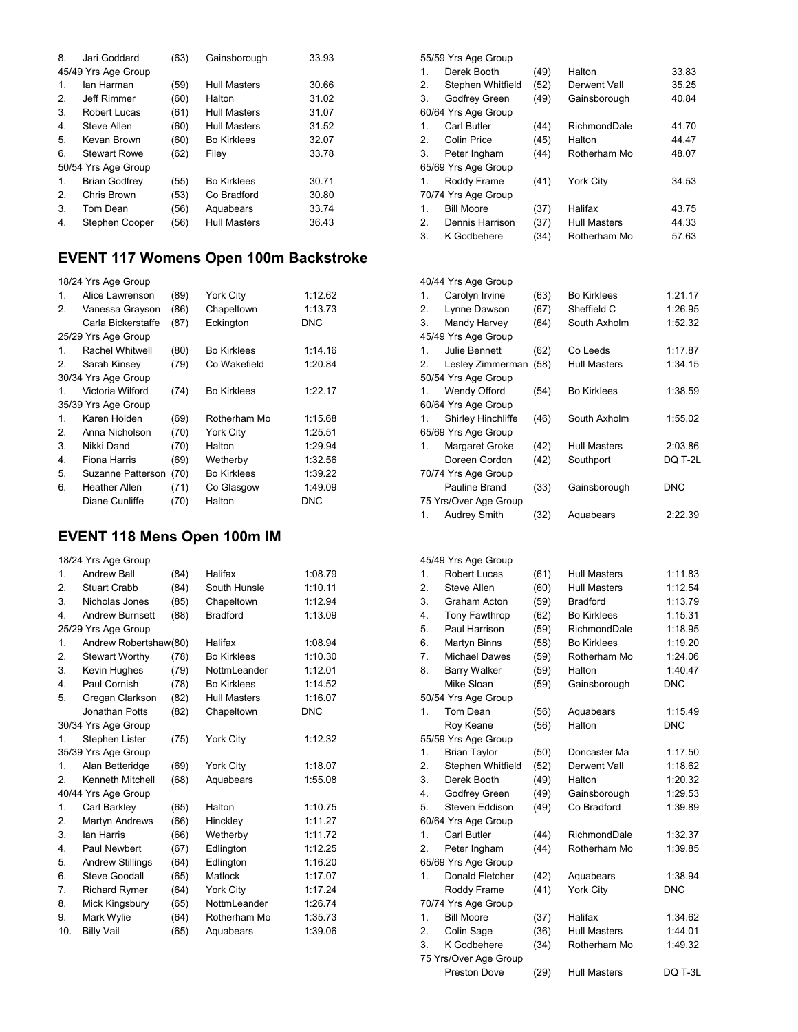| 8. | Jari Goddard         | (63) | Gainsborough        | 33.93 |
|----|----------------------|------|---------------------|-------|
|    | 45/49 Yrs Age Group  |      |                     |       |
| 1. | lan Harman           | (59) | <b>Hull Masters</b> | 30.66 |
| 2. | Jeff Rimmer          | (60) | Halton              | 31.02 |
| 3. | Robert Lucas         | (61) | <b>Hull Masters</b> | 31.07 |
| 4. | Steve Allen          | (60) | <b>Hull Masters</b> | 31.52 |
| 5. | Kevan Brown          | (60) | <b>Bo Kirklees</b>  | 32.07 |
| 6. | <b>Stewart Rowe</b>  | (62) | Filey               | 33.78 |
|    | 50/54 Yrs Age Group  |      |                     |       |
| 1. | <b>Brian Godfrey</b> | (55) | <b>Bo Kirklees</b>  | 30.71 |
| 2. | Chris Brown          | (53) | Co Bradford         | 30.80 |
| 3. | Tom Dean             | (56) | Aquabears           | 33.74 |
| 4. | Stephen Cooper       | (56) | <b>Hull Masters</b> | 36.43 |

## **EVENT 117 Womens Open 100m Backstroke**

|              | 18/24 Yrs Age Group  |      |                    |         |
|--------------|----------------------|------|--------------------|---------|
| 1.           | Alice Lawrenson      | (89) | York City          | 1:12.62 |
| 2.           | Vanessa Grayson      | (86) | Chapeltown         | 1:13.73 |
|              | Carla Bickerstaffe   | (87) | Eckington          | DNC     |
|              | 25/29 Yrs Age Group  |      |                    |         |
| 1.           | Rachel Whitwell      | (80) | <b>Bo Kirklees</b> | 1:14.16 |
| 2.           | Sarah Kinsey         | (79) | Co Wakefield       | 1:20.84 |
|              | 30/34 Yrs Age Group  |      |                    |         |
| $\mathbf{1}$ | Victoria Wilford     | (74) | <b>Bo Kirklees</b> | 1:22.17 |
|              | 35/39 Yrs Age Group  |      |                    |         |
| 1.           | Karen Holden         | (69) | Rotherham Mo       | 1:15.68 |
| 2.           | Anna Nicholson       | (70) | York City          | 1:25.51 |
| 3.           | Nikki Dand           | (70) | Halton             | 1:29.94 |
| 4.           | Fiona Harris         | (69) | Wetherby           | 1:32.56 |
| 5.           | Suzanne Patterson    | (70) | <b>Bo Kirklees</b> | 1:39.22 |
| 6.           | <b>Heather Allen</b> | (71) | Co Glasgow         | 1:49.09 |
|              | Diane Cunliffe       | (70) | Halton             | DNC     |
|              |                      |      |                    |         |

## **EVENT 118 Mens Open 100m IM**

|                | 18/24 Yrs Age Group     |      |                     |            |
|----------------|-------------------------|------|---------------------|------------|
| $\mathbf 1$    | <b>Andrew Ball</b>      | (84) | Halifax             | 1:08.79    |
| 2.             | <b>Stuart Crabb</b>     | (84) | South Hunsle        | 1:10.11    |
| 3.             | Nicholas Jones          | (85) | Chapeltown          | 1:12.94    |
| 4.             | <b>Andrew Burnsett</b>  | (88) | <b>Bradford</b>     | 1:13.09    |
|                | 25/29 Yrs Age Group     |      |                     |            |
| 1.             | Andrew Robertshaw(80)   |      | Halifax             | 1:08.94    |
| 2.             | <b>Stewart Worthy</b>   | (78) | <b>Bo Kirklees</b>  | 1:10.30    |
| 3.             | Kevin Hughes            | (79) | NottmLeander        | 1:12.01    |
| 4.             | Paul Cornish            | (78) | <b>Bo Kirklees</b>  | 1:14.52    |
| 5.             | Gregan Clarkson         | (82) | <b>Hull Masters</b> | 1:16.07    |
|                | Jonathan Potts          | (82) | Chapeltown          | <b>DNC</b> |
|                | 30/34 Yrs Age Group     |      |                     |            |
| 1.             | Stephen Lister          | (75) | York City           | 1:12.32    |
|                | 35/39 Yrs Age Group     |      |                     |            |
| $\mathbf{1}$ . | Alan Betteridge         | (69) | York City           | 1:18.07    |
| 2.             | Kenneth Mitchell        | (68) | Aquabears           | 1:55.08    |
|                | 40/44 Yrs Age Group     |      |                     |            |
| 1.             | Carl Barkley            | (65) | Halton              | 1:10.75    |
| 2.             | <b>Martyn Andrews</b>   | (66) | Hinckley            | 1:11.27    |
| 3.             | lan Harris              | (66) | Wetherby            | 1:11.72    |
| 4.             | Paul Newbert            | (67) | Edlington           | 1:12.25    |
| 5.             | <b>Andrew Stillings</b> | (64) | Edlington           | 1:16.20    |
| 6.             | Steve Goodall           | (65) | Matlock             | 1:17.07    |
| 7.             | <b>Richard Rymer</b>    | (64) | York City           | 1:17.24    |
| 8.             | Mick Kingsbury          | (65) | NottmLeander        | 1:26.74    |
| 9.             | Mark Wylie              | (64) | Rotherham Mo        | 1:35.73    |
| 10.            | <b>Billy Vail</b>       | (65) | Aquabears           | 1:39.06    |

55/59 Yrs Age Group

| 1.             | Derek Booth          | (49) | Halton              | 33.83 |
|----------------|----------------------|------|---------------------|-------|
| 2.             | Stephen Whitfield    | (52) | Derwent Vall        | 35.25 |
| 3.             | <b>Godfrey Green</b> | (49) | Gainsborough        | 40.84 |
|                | 60/64 Yrs Age Group  |      |                     |       |
| $\mathbf{1}$ . | Carl Butler          | (44) | RichmondDale        | 41.70 |
| 2.             | Colin Price          | (45) | Halton              | 44.47 |
| 3.             | Peter Ingham         | (44) | Rotherham Mo        | 48.07 |
|                | 65/69 Yrs Age Group  |      |                     |       |
| $\mathbf{1}$ . | Roddy Frame          | (41) | <b>York City</b>    | 34.53 |
|                | 70/74 Yrs Age Group  |      |                     |       |
| $\mathbf{1}$ . | <b>Bill Moore</b>    | (37) | Halifax             | 43.75 |
| 2.             | Dennis Harrison      | (37) | <b>Hull Masters</b> | 44.33 |
| 3.             | K Godbehere          | (34) | Rotherham Mo        | 57.63 |
|                |                      |      |                     |       |

|                | 40/44 Yrs Age Group       |      |                    |         |
|----------------|---------------------------|------|--------------------|---------|
| 1.             | Carolyn Irvine            | (63) | <b>Bo Kirklees</b> | 1:21.17 |
| 2.             | Lynne Dawson              | (67) | Sheffield C        | 1:26.95 |
| 3.             | Mandy Harvey              | (64) | South Axholm       | 1:52.32 |
|                | 45/49 Yrs Age Group       |      |                    |         |
| 1 <sub>1</sub> | <b>Julie Bennett</b>      | (62) | Co Leeds           | 1:17.87 |
| 2.             | Lesley Zimmerman          | (58) | Hull Masters       | 1:34.15 |
|                | 50/54 Yrs Age Group       |      |                    |         |
| 1.             | Wendy Offord              | (54) | <b>Bo Kirklees</b> | 1:38.59 |
|                | 60/64 Yrs Age Group       |      |                    |         |
| 1.             | <b>Shirley Hinchliffe</b> | (46) | South Axholm       | 1:55.02 |
|                | 65/69 Yrs Age Group       |      |                    |         |
| $1_{-}$        | Margaret Groke            | (42) | Hull Masters       | 2:03.86 |
|                | Doreen Gordon             | (42) | Southport          | DQ T-2L |
|                | 70/74 Yrs Age Group       |      |                    |         |
|                | Pauline Brand             | (33) | Gainsborough       | DNC     |
|                | 75 Yrs/Over Age Group     |      |                    |         |
| 1.             | Audrey Smith              | (32) | Aquabears          | 2:22.39 |

|                  | 45/49 Yrs Age Group   |      |                     |            |
|------------------|-----------------------|------|---------------------|------------|
| $\mathbf 1$      | Robert Lucas          | (61) | <b>Hull Masters</b> | 1:11.83    |
| 2.               | Steve Allen           | (60) | Hull Masters        | 1:12.54    |
| 3.               | Graham Acton          | (59) | <b>Bradford</b>     | 1:13.79    |
| 4.               | <b>Tony Fawthrop</b>  | (62) | <b>Bo Kirklees</b>  | 1:15.31    |
| 5.               | Paul Harrison         | (59) | RichmondDale        | 1:18.95    |
| 6.               | <b>Martyn Binns</b>   | (58) | <b>Bo Kirklees</b>  | 1:19.20    |
| 7 <sub>1</sub>   | <b>Michael Dawes</b>  | (59) | Rotherham Mo        | 1:24.06    |
| 8.               | <b>Barry Walker</b>   | (59) | Halton              | 1:40.47    |
|                  | Mike Sloan            | (59) | Gainsborough        | <b>DNC</b> |
|                  | 50/54 Yrs Age Group   |      |                     |            |
| 1.               | Tom Dean              | (56) | Aquabears           | 1:15.49    |
|                  | Roy Keane             | (56) | Halton              | <b>DNC</b> |
|                  | 55/59 Yrs Age Group   |      |                     |            |
| $\mathbf{1}$ .   | <b>Brian Taylor</b>   | (50) | Doncaster Ma        | 1:17.50    |
| 2.               | Stephen Whitfield     | (52) | Derwent Vall        | 1:18.62    |
| 3.               | Derek Booth           | (49) | Halton              | 1:20.32    |
| $\overline{4}$ . | Godfrey Green         | (49) | Gainsborough        | 1:29.53    |
| 5.               | Steven Eddison        | (49) | Co Bradford         | 1:39.89    |
|                  | 60/64 Yrs Age Group   |      |                     |            |
| 1.               | Carl Butler           | (44) | RichmondDale        | 1:32.37    |
| 2.               | Peter Ingham          | (44) | Rotherham Mo        | 1:39.85    |
|                  | 65/69 Yrs Age Group   |      |                     |            |
| 1.               | Donald Fletcher       | (42) | Aquabears           | 1:38.94    |
|                  | Roddy Frame           | (41) | <b>York City</b>    | <b>DNC</b> |
|                  | 70/74 Yrs Age Group   |      |                     |            |
| 1.               | <b>Bill Moore</b>     | (37) | Halifax             | 1:34.62    |
| 2.               | Colin Sage            | (36) | <b>Hull Masters</b> | 1:44.01    |
| 3.               | K Godbehere           | (34) | Rotherham Mo        | 1:49.32    |
|                  | 75 Yrs/Over Age Group |      |                     |            |
|                  | <b>Preston Dove</b>   | (29) | <b>Hull Masters</b> | DQ T-3L    |
|                  |                       |      |                     |            |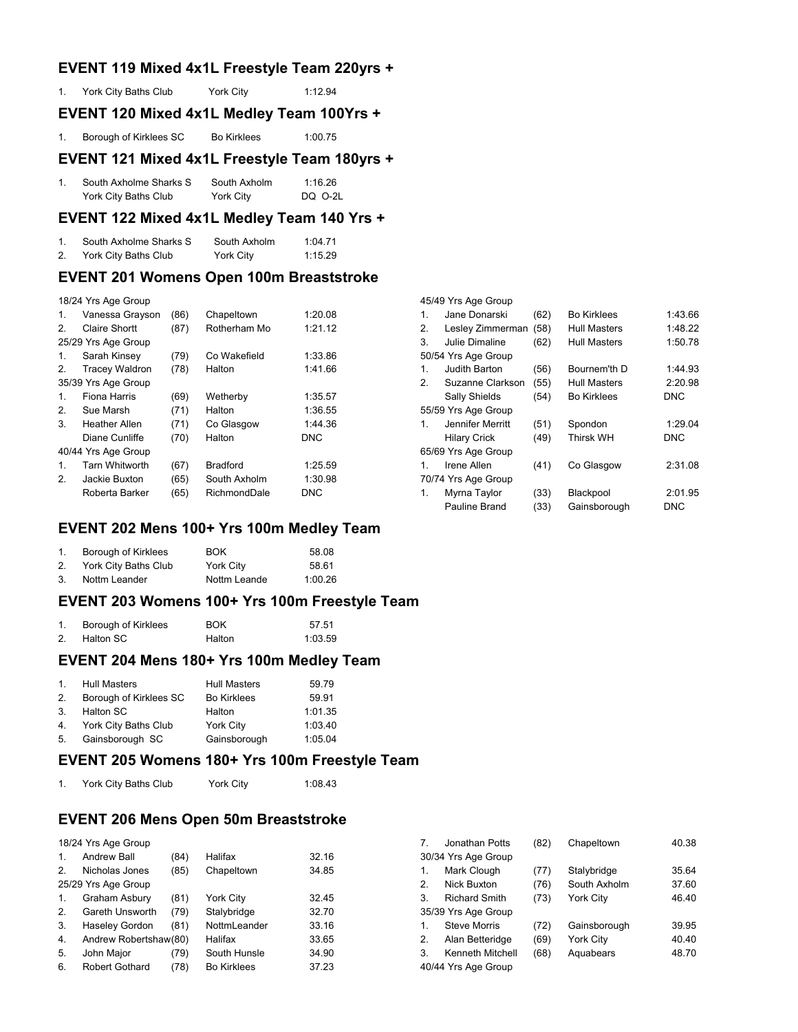### **EVENT 119 Mixed 4x1L Freestyle Team 220yrs +**

|    | EVENT 120 Mixed 4x1L Medley Team 100Yrs + |           |         |
|----|-------------------------------------------|-----------|---------|
| 1. | York City Baths Club                      | York City | 1:12.94 |

1. Borough of Kirklees SC Bo Kirklees 1:00.75

#### **EVENT 121 Mixed 4x1L Freestyle Team 180yrs +**

| South Axholme Sharks S | South Axholm | 1:16.26 |
|------------------------|--------------|---------|
| York City Baths Club   | York City    | DQ 0-2L |

#### **EVENT 122 Mixed 4x1L Medley Team 140 Yrs +**

| South Axholme Sharks S | South Axholm | 1:04.71 |
|------------------------|--------------|---------|
| York City Baths Club   | York City    | 1:15.29 |

### **EVENT 201 Womens Open 100m Breaststroke**

|  | 18/24 Yrs Age Group |
|--|---------------------|
|  |                     |

| 1. | Vanessa Grayson       | (86) | Chapeltown      | 1:20.08    |
|----|-----------------------|------|-----------------|------------|
| 2. | Claire Shortt         | (87) | Rotherham Mo    | 1:21.12    |
|    | 25/29 Yrs Age Group   |      |                 |            |
| 1. | Sarah Kinsey          | (79) | Co Wakefield    | 1:33.86    |
| 2. | <b>Tracey Waldron</b> | (78) | Halton          | 1:41.66    |
|    | 35/39 Yrs Age Group   |      |                 |            |
| 1. | Fiona Harris          | (69) | Wetherby        | 1:35.57    |
| 2. | Sue Marsh             | (71) | Halton          | 1:36.55    |
| 3. | Heather Allen         | (71) | Co Glasgow      | 1:44.36    |
|    | Diane Cunliffe        | (70) | Halton          | <b>DNC</b> |
|    | 40/44 Yrs Age Group   |      |                 |            |
| 1. | <b>Tarn Whitworth</b> | (67) | <b>Bradford</b> | 1:25.59    |
| 2. | Jackie Buxton         | (65) | South Axholm    | 1:30.98    |
|    | Roberta Barker        | (65) | RichmondDale    | DNC        |

#### **EVENT 202 Mens 100+ Yrs 100m Medley Team**

|    | Borough of Kirklees     | <b>BOK</b>   | 58.08   |
|----|-------------------------|--------------|---------|
|    | 2. York City Baths Club | York City    | 58.61   |
| 3. | Nottm Leander           | Nottm Leande | 1:00.26 |

#### **EVENT 203 Womens 100+ Yrs 100m Freestyle Team**

| Borough of Kirklees | <b>BOK</b> | 57.51   |
|---------------------|------------|---------|
| Halton SC           | Halton     | 1:03.59 |

#### **EVENT 204 Mens 180+ Yrs 100m Medley Team**

|    | 1. Hull Masters         | <b>Hull Masters</b> | 59.79   |
|----|-------------------------|---------------------|---------|
| 2. | Borough of Kirklees SC  | <b>Bo Kirklees</b>  | 59.91   |
| 3. | Halton SC               | Halton              | 1:01.35 |
|    | 4. York City Baths Club | York City           | 1:03.40 |
|    | 5. Gainsborough SC      | Gainsborough        | 1:05.04 |

#### **EVENT 205 Womens 180+ Yrs 100m Freestyle Team**

1. York City Baths Club York City 1:08.43

### **EVENT 206 Mens Open 50m Breaststroke**

|    | 18/24 Yrs Age Group   |      |                    |       |
|----|-----------------------|------|--------------------|-------|
| 1. | <b>Andrew Ball</b>    | (84) | Halifax            | 32.16 |
| 2. | Nicholas Jones        | (85) | Chapeltown         | 34.85 |
|    | 25/29 Yrs Age Group   |      |                    |       |
| 1. | Graham Asbury         | (81) | York City          | 32.45 |
| 2. | Gareth Unsworth       | (79) | Stalybridge        | 32.70 |
| 3. | Haseley Gordon        | (81) | NottmLeander       | 33.16 |
| 4. | Andrew Robertshaw(80) |      | Halifax            | 33.65 |
| 5. | John Major            | (79) | South Hunsle       | 34.90 |
| 6. | <b>Robert Gothard</b> | (78) | <b>Bo Kirklees</b> | 37.23 |

| 7  | Jonathan Potts       | (82) | Chapeltown       | 40.38 |
|----|----------------------|------|------------------|-------|
|    | 30/34 Yrs Age Group  |      |                  |       |
| 1. | Mark Clough          | (77) | Stalybridge      | 35.64 |
| 2. | Nick Buxton          | (76) | South Axholm     | 37.60 |
| 3. | <b>Richard Smith</b> | (73) | <b>York City</b> | 46.40 |
|    | 35/39 Yrs Age Group  |      |                  |       |
| 1. | <b>Steve Morris</b>  | (72) | Gainsborough     | 39.95 |
| 2. | Alan Betteridge      | (69) | York City        | 40.40 |
| 3. | Kenneth Mitchell     | (68) | Aquabears        | 48.70 |
|    | 40/44 Yrs Age Group  |      |                  |       |

45/49 Yrs Age Group

| $\mathbf{1}$ . | Jane Donarski       | (62) | <b>Bo Kirklees</b>  | 1:43.66    |
|----------------|---------------------|------|---------------------|------------|
| 2.             | Lesley Zimmerman    | (58) | <b>Hull Masters</b> | 1:48.22    |
| 3.             | Julie Dimaline      | (62) | <b>Hull Masters</b> | 1:50.78    |
|                | 50/54 Yrs Age Group |      |                     |            |
| $\mathbf{1}$ . | Judith Barton       | (56) | Bournem'th D        | 1:44.93    |
| 2.             | Suzanne Clarkson    | (55) | <b>Hull Masters</b> | 2:20.98    |
|                | Sally Shields       | (54) | <b>Bo Kirklees</b>  | <b>DNC</b> |
|                | 55/59 Yrs Age Group |      |                     |            |
| 1.             | Jennifer Merritt    | (51) | Spondon             | 1:29.04    |
|                | <b>Hilary Crick</b> | (49) | <b>Thirsk WH</b>    | <b>DNC</b> |
|                | 65/69 Yrs Age Group |      |                     |            |
| 1.             | Irene Allen         | (41) | Co Glasgow          | 2:31.08    |
|                | 70/74 Yrs Age Group |      |                     |            |
| 1.             | Myrna Taylor        | (33) | Blackpool           | 2:01.95    |
|                | Pauline Brand       | (33) | Gainsborough        | <b>DNC</b> |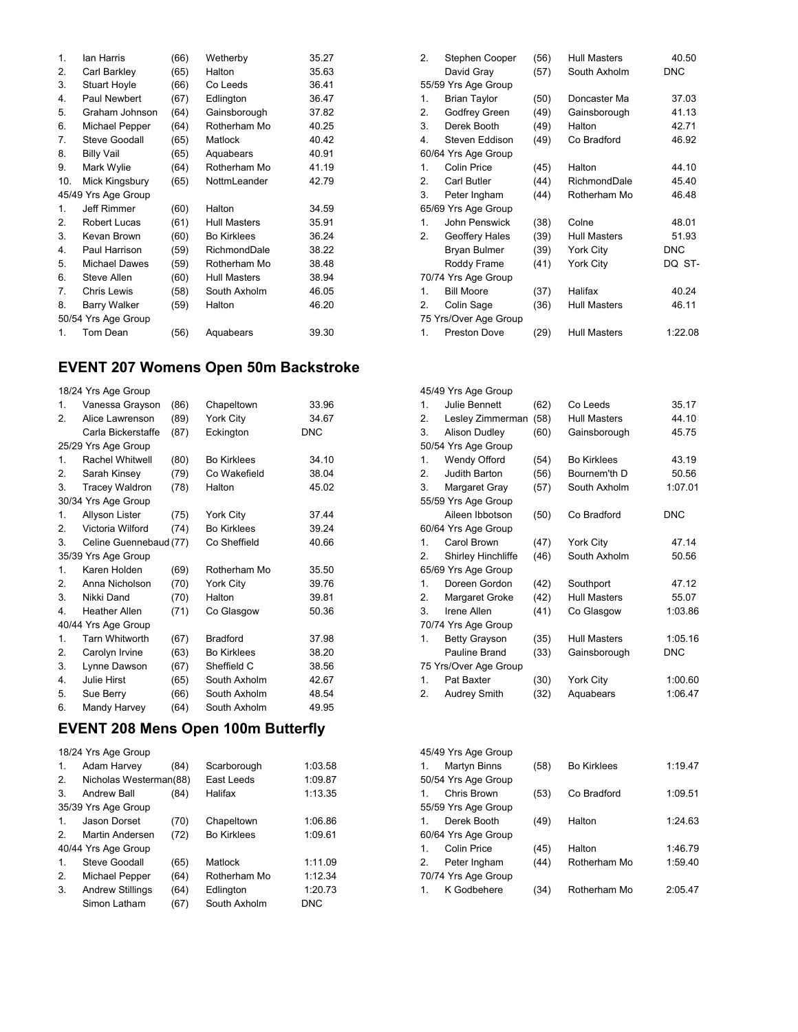| 1.  | lan Harris           | (66) | Wetherby            | 35.27 |
|-----|----------------------|------|---------------------|-------|
| 2.  | Carl Barkley         | (65) | Halton              | 35.63 |
| 3.  | <b>Stuart Hoyle</b>  | (66) | Co Leeds            | 36.41 |
| 4.  | Paul Newbert         | (67) | Edlington           | 36.47 |
| 5.  | Graham Johnson       | (64) | Gainsborough        | 37.82 |
| 6.  | Michael Pepper       | (64) | Rotherham Mo        | 40.25 |
| 7.  | Steve Goodall        | (65) | <b>Matlock</b>      | 40.42 |
| 8.  | Billy Vail           | (65) | Aquabears           | 40.91 |
| 9.  | Mark Wylie           | (64) | Rotherham Mo        | 41.19 |
| 10. | Mick Kingsbury       | (65) | NottmLeander        | 42.79 |
|     | 45/49 Yrs Age Group  |      |                     |       |
| 1.  | Jeff Rimmer          | (60) | Halton              | 34.59 |
| 2.  | Robert Lucas         | (61) | <b>Hull Masters</b> | 35.91 |
| 3.  | Kevan Brown          | (60) | <b>Bo Kirklees</b>  | 36.24 |
| 4.  | Paul Harrison        | (59) | RichmondDale        | 38.22 |
| 5.  | <b>Michael Dawes</b> | (59) | Rotherham Mo        | 38.48 |
| 6.  | Steve Allen          | (60) | <b>Hull Masters</b> | 38.94 |
| 7.  | <b>Chris Lewis</b>   | (58) | South Axholm        | 46.05 |
| 8.  | Barry Walker         | (59) | Halton              | 46.20 |
|     | 50/54 Yrs Age Group  |      |                     |       |
| 1.  | Tom Dean             | (56) | Aquabears           | 39.30 |

# **EVENT 207 Womens Open 50m Backstroke**

|                | 18/24 Yrs Age Group    |      |                    |            |
|----------------|------------------------|------|--------------------|------------|
| 1.             | Vanessa Grayson        | (86) | Chapeltown         | 33.96      |
| 2.             | Alice Lawrenson        | (89) | York City          | 34.67      |
|                | Carla Bickerstaffe     | (87) | Eckington          | <b>DNC</b> |
|                | 25/29 Yrs Age Group    |      |                    |            |
| 1.             | Rachel Whitwell        | (80) | <b>Bo Kirklees</b> | 34.10      |
| 2.             | Sarah Kinsey           | (79) | Co Wakefield       | 38.04      |
| 3.             | <b>Tracey Waldron</b>  | (78) | Halton             | 45.02      |
|                | 30/34 Yrs Age Group    |      |                    |            |
| $\mathbf{1}$ . | Allyson Lister         | (75) | York City          | 37.44      |
| 2.             | Victoria Wilford       | (74) | <b>Bo Kirklees</b> | 39.24      |
| 3.             | Celine Guennebaud (77) |      | Co Sheffield       | 40.66      |
|                | 35/39 Yrs Age Group    |      |                    |            |
| $\mathbf{1}$ . | Karen Holden           | (69) | Rotherham Mo       | 35.50      |
| 2.             | Anna Nicholson         | (70) | York City          | 39.76      |
| 3.             | Nikki Dand             | (70) | Halton             | 39.81      |
| 4.             | <b>Heather Allen</b>   | (71) | Co Glasgow         | 50.36      |
|                | 40/44 Yrs Age Group    |      |                    |            |
| $\mathbf{1}$ . | <b>Tarn Whitworth</b>  | (67) | <b>Bradford</b>    | 37.98      |
| 2.             | Carolyn Irvine         | (63) | <b>Bo Kirklees</b> | 38.20      |
| 3.             | Lynne Dawson           | (67) | Sheffield C        | 38.56      |
| 4.             | Julie Hirst            | (65) | South Axholm       | 42.67      |
| 5.             | Sue Berry              | (66) | South Axholm       | 48.54      |
| 6.             | Mandy Harvey           | (64) | South Axholm       | 49.95      |

# **EVENT 208 Mens Open 100m Butterfly**

|               | 18/24 Yrs Age Group     |      |                    |         |
|---------------|-------------------------|------|--------------------|---------|
| 1.            | Adam Harvey             | (84) | Scarborough        | 1:03.58 |
| 2.            | Nicholas Westerman(88)  |      | East Leeds         | 1:09.87 |
| 3.            | <b>Andrew Ball</b>      | (84) | Halifax            | 1:13.35 |
|               | 35/39 Yrs Age Group     |      |                    |         |
| 1.            | Jason Dorset            | (70) | Chapeltown         | 1:06.86 |
| $\mathcal{P}$ | Martin Andersen         | (72) | <b>Bo Kirklees</b> | 1:09.61 |
|               | 40/44 Yrs Age Group     |      |                    |         |
| 1.            | Steve Goodall           | (65) | Matlock            | 1:11.09 |
| 2.            | Michael Pepper          | (64) | Rotherham Mo       | 1:12.34 |
| 3.            | <b>Andrew Stillings</b> | (64) | Edlington          | 1:20.73 |
|               | Simon Latham            | (67) | South Axholm       | DNC     |
|               |                         |      |                    |         |

| 2.           | Stephen Cooper        | (56) | <b>Hull Masters</b> | 40.50      |
|--------------|-----------------------|------|---------------------|------------|
|              | David Gray            | (57) | South Axholm        | <b>DNC</b> |
|              | 55/59 Yrs Age Group   |      |                     |            |
| 1.           | <b>Brian Taylor</b>   | (50) | Doncaster Ma        | 37.03      |
| 2.           | Godfrey Green         | (49) | Gainsborough        | 41.13      |
| 3.           | Derek Booth           | (49) | Halton              | 42.71      |
| 4.           | Steven Eddison        | (49) | Co Bradford         | 46.92      |
|              | 60/64 Yrs Age Group   |      |                     |            |
| 1.           | Colin Price           | (45) | Halton              | 44.10      |
| 2.           | Carl Butler           | (44) | RichmondDale        | 45.40      |
| 3.           | Peter Ingham          | (44) | Rotherham Mo        | 46.48      |
|              | 65/69 Yrs Age Group   |      |                     |            |
| 1.           | John Penswick         | (38) | Colne               | 48.01      |
| 2.           | Geoffery Hales        | (39) | <b>Hull Masters</b> | 51.93      |
|              | <b>Bryan Bulmer</b>   | (39) | <b>York City</b>    | <b>DNC</b> |
|              | Roddy Frame           | (41) | York City           | DQ ST-     |
|              | 70/74 Yrs Age Group   |      |                     |            |
| $\mathbf{1}$ | <b>Bill Moore</b>     | (37) | Halifax             | 40.24      |
| 2.           | Colin Sage            | (36) | <b>Hull Masters</b> | 46.11      |
|              | 75 Yrs/Over Age Group |      |                     |            |
| 1.           | <b>Preston Dove</b>   | (29) | <b>Hull Masters</b> | 1:22.08    |

|              | 45/49 Yrs Age Group       |      |                     |            |
|--------------|---------------------------|------|---------------------|------------|
| 1.           | Julie Bennett             | (62) | Co Leeds            | 35.17      |
| 2.           | Lesley Zimmerman          | (58) | Hull Masters        | 44.10      |
| 3.           | Alison Dudley             | (60) | Gainsborough        | 45.75      |
|              | 50/54 Yrs Age Group       |      |                     |            |
| 1.           | Wendy Offord              | (54) | <b>Bo Kirklees</b>  | 43.19      |
| 2.           | Judith Barton             | (56) | Bournem'th D        | 50.56      |
| 3.           | Margaret Gray             | (57) | South Axholm        | 1:07.01    |
|              | 55/59 Yrs Age Group       |      |                     |            |
|              | Aileen Ibbotson           | (50) | Co Bradford         | <b>DNC</b> |
|              | 60/64 Yrs Age Group       |      |                     |            |
| $\mathbf{1}$ | Carol Brown               | (47) | York City           | 47.14      |
| 2.           | <b>Shirley Hinchliffe</b> | (46) | South Axholm        | 50.56      |
|              | 65/69 Yrs Age Group       |      |                     |            |
| 1.           | Doreen Gordon             | (42) | Southport           | 47.12      |
| 2.           | Margaret Groke            | (42) | <b>Hull Masters</b> | 55.07      |
| 3            | Irene Allen               | (41) | Co Glasgow          | 1:03.86    |
|              | 70/74 Yrs Age Group       |      |                     |            |
| 1.           | <b>Betty Grayson</b>      | (35) | <b>Hull Masters</b> | 1:05.16    |
|              | Pauline Brand             | (33) | Gainsborough        | DNC        |
|              | 75 Yrs/Over Age Group     |      |                     |            |
| 1.           | Pat Baxter                | (30) | York City           | 1:00.60    |
| 2.           | Audrey Smith              | (32) | Aquabears           | 1:06.47    |

|    | 45/49 Yrs Age Group |      |                    |         |
|----|---------------------|------|--------------------|---------|
| 1. | Martyn Binns        | (58) | <b>Bo Kirklees</b> | 1:19.47 |
|    | 50/54 Yrs Age Group |      |                    |         |
|    | 1. Chris Brown      | (53) | Co Bradford        | 1:09.51 |
|    | 55/59 Yrs Age Group |      |                    |         |
| 1. | Derek Booth         | (49) | Halton             | 1:24.63 |
|    | 60/64 Yrs Age Group |      |                    |         |
| 1. | <b>Colin Price</b>  | (45) | Halton             | 1:46.79 |
| 2. | Peter Ingham        | (44) | Rotherham Mo       | 1:59.40 |
|    | 70/74 Yrs Age Group |      |                    |         |
| 1. | K Godbehere         | (34) | Rotherham Mo       | 2:05.47 |
|    |                     |      |                    |         |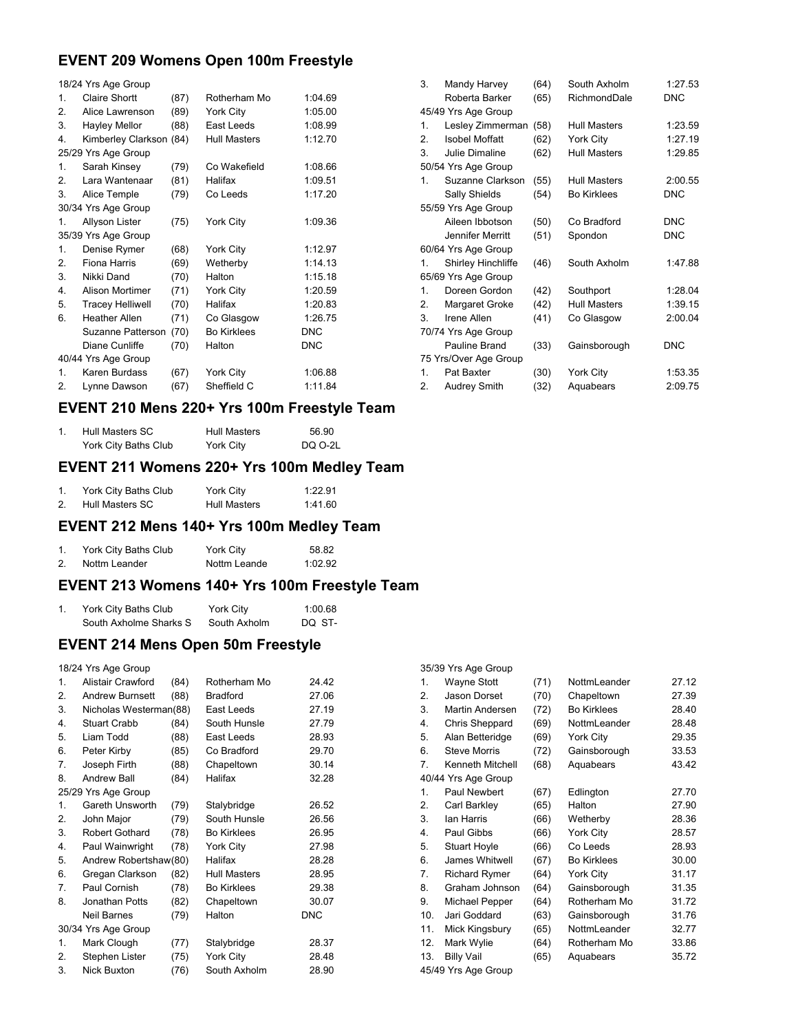## **EVENT 209 Womens Open 100m Freestyle**

|                | 18/24 Yrs Age Group     |      |                     |            |
|----------------|-------------------------|------|---------------------|------------|
| 1.             | <b>Claire Shortt</b>    | (87) | Rotherham Mo        | 1:04.69    |
| 2.             | Alice Lawrenson         | (89) | York City           | 1:05.00    |
| 3.             | Hayley Mellor           | (88) | East Leeds          | 1:08.99    |
| 4.             | Kimberley Clarkson      | (84) | <b>Hull Masters</b> | 1:12.70    |
|                | 25/29 Yrs Age Group     |      |                     |            |
| 1.             | Sarah Kinsey            | (79) | Co Wakefield        | 1:08.66    |
| 2.             | Lara Wantenaar          | (81) | Halifax             | 1:09.51    |
| 3.             | Alice Temple            | (79) | Co Leeds            | 1:17.20    |
|                | 30/34 Yrs Age Group     |      |                     |            |
| 1.             | Allyson Lister          | (75) | York City           | 1:09.36    |
|                | 35/39 Yrs Age Group     |      |                     |            |
| 1.             | Denise Rymer            | (68) | York City           | 1:12.97    |
| 2.             | Fiona Harris            | (69) | Wetherby            | 1:14.13    |
| 3.             | Nikki Dand              | (70) | Halton              | 1:15.18    |
| 4.             | <b>Alison Mortimer</b>  | (71) | York City           | 1:20.59    |
| 5.             | <b>Tracey Helliwell</b> | (70) | Halifax             | 1:20.83    |
| 6.             | <b>Heather Allen</b>    | (71) | Co Glasgow          | 1:26.75    |
|                | Suzanne Patterson       | (70) | <b>Bo Kirklees</b>  | DNC        |
|                | Diane Cunliffe          | (70) | Halton              | <b>DNC</b> |
|                | 40/44 Yrs Age Group     |      |                     |            |
| $\mathbf{1}$ . | Karen Burdass           | (67) | York City           | 1:06.88    |
| 2.             | Lynne Dawson            | (67) | Sheffield C         | 1:11.84    |

| 3.           | Mandy Harvey          | (64) | South Axholm        | 1:27.53    |
|--------------|-----------------------|------|---------------------|------------|
|              | Roberta Barker        | (65) | RichmondDale        | <b>DNC</b> |
|              | 45/49 Yrs Age Group   |      |                     |            |
| 1.           | Lesley Zimmerman      | (58) | Hull Masters        | 1:23.59    |
| 2.           | Isobel Moffatt        | (62) | York City           | 1:27.19    |
| 3.           | Julie Dimaline        | (62) | <b>Hull Masters</b> | 1:29.85    |
|              | 50/54 Yrs Age Group   |      |                     |            |
| $\mathbf{1}$ | Suzanne Clarkson      | (55) | Hull Masters        | 2:00.55    |
|              | Sally Shields         | (54) | <b>Bo Kirklees</b>  | <b>DNC</b> |
|              | 55/59 Yrs Age Group   |      |                     |            |
|              | Aileen Ibbotson       | (50) | Co Bradford         | <b>DNC</b> |
|              | Jennifer Merritt      | (51) | Spondon             | <b>DNC</b> |
|              | 60/64 Yrs Age Group   |      |                     |            |
| 1.           | Shirley Hinchliffe    | (46) | South Axholm        | 1:47.88    |
|              | 65/69 Yrs Age Group   |      |                     |            |
| $\mathbf{1}$ | Doreen Gordon         | (42) | Southport           | 1:28.04    |
| 2.           | Margaret Groke        | (42) | <b>Hull Masters</b> | 1:39.15    |
| 3            | Irene Allen           | (41) | Co Glasgow          | 2:00.04    |
|              | 70/74 Yrs Age Group   |      |                     |            |
|              | Pauline Brand         | (33) | Gainsborough        | <b>DNC</b> |
|              | 75 Yrs/Over Age Group |      |                     |            |
| $\mathbf{1}$ | Pat Baxter            | (30) | York City           | 1:53.35    |
| 2.           | Audrey Smith          | (32) | Aquabears           | 2:09.75    |

### **EVENT 210 Mens 220+ Yrs 100m Freestyle Team**

| Hull Masters SC      | <b>Hull Masters</b> | 56.90   |
|----------------------|---------------------|---------|
| York City Baths Club | York City           | DQ 0-2L |

### **EVENT 211 Womens 220+ Yrs 100m Medley Team**

| York City Baths Club | York City           | 1:22.91 |
|----------------------|---------------------|---------|
| Hull Masters SC      | <b>Hull Masters</b> | 1:41.60 |

## **EVENT 212 Mens 140+ Yrs 100m Medley Team**

|    | York City Baths Club | York City    | 58.82   |
|----|----------------------|--------------|---------|
| 2. | Nottm Leander        | Nottm Leande | 1:02.92 |

## **EVENT 213 Womens 140+ Yrs 100m Freestyle Team**

| York City Baths Club   | York City    | 1:00.68 |
|------------------------|--------------|---------|
| South Axholme Sharks S | South Axholm | DO ST-  |

## **EVENT 214 Mens Open 50m Freestyle**

18/24 Yrs Age Group

| 1.             | Alistair Crawford      | (84) | Rotherham Mo       | 24.42      |
|----------------|------------------------|------|--------------------|------------|
| 2.             | <b>Andrew Burnsett</b> | (88) | <b>Bradford</b>    | 27.06      |
| 3.             | Nicholas Westerman(88) |      | East Leeds         | 27.19      |
| 4.             | <b>Stuart Crabb</b>    | (84) | South Hunsle       | 27.79      |
| 5.             | Liam Todd              | (88) | East Leeds         | 28.93      |
| 6.             | Peter Kirby            | (85) | Co Bradford        | 29.70      |
| 7.             | Joseph Firth           | (88) | Chapeltown         | 30.14      |
| 8.             | <b>Andrew Ball</b>     | (84) | Halifax            | 32.28      |
|                | 25/29 Yrs Age Group    |      |                    |            |
| $\mathbf{1}$ . | Gareth Unsworth        | (79) | Stalybridge        | 26.52      |
| 2.             | John Major             | (79) | South Hunsle       | 26.56      |
| 3.             | Robert Gothard         | (78) | <b>Bo Kirklees</b> | 26.95      |
| 4.             | Paul Wainwright        | (78) | York City          | 27.98      |
| 5.             | Andrew Robertshaw(80)  |      | Halifax            | 28.28      |
| 6.             | Gregan Clarkson        | (82) | Hull Masters       | 28.95      |
| 7.             | Paul Cornish           | (78) | <b>Bo Kirklees</b> | 29.38      |
| 8.             | Jonathan Potts         | (82) | Chapeltown         | 30.07      |
|                | <b>Neil Barnes</b>     | (79) | Halton             | <b>DNC</b> |
|                | 30/34 Yrs Age Group    |      |                    |            |
| 1.             | Mark Clough            | (77) | Stalybridge        | 28.37      |
| 2.             | Stephen Lister         | (75) | York City          | 28.48      |
| 3.             | Nick Buxton            | (76) | South Axholm       | 28.90      |
|                |                        |      |                    |            |

|                | 35/39 Yrs Age Group  |      |                    |       |
|----------------|----------------------|------|--------------------|-------|
| $\mathbf{1}$ . | <b>Wayne Stott</b>   | (71) | NottmLeander       | 27.12 |
| 2.             | Jason Dorset         | (70) | Chapeltown         | 27.39 |
| 3.             | Martin Andersen      | (72) | <b>Bo Kirklees</b> | 28.40 |
| 4.             | Chris Sheppard       | (69) | NottmLeander       | 28.48 |
| 5.             | Alan Betteridge      | (69) | York City          | 29.35 |
| 6.             | <b>Steve Morris</b>  | (72) | Gainsborough       | 33.53 |
| 7.             | Kenneth Mitchell     | (68) | Aquabears          | 43.42 |
|                | 40/44 Yrs Age Group  |      |                    |       |
| $\mathbf{1}$ . | Paul Newbert         | (67) | Edlington          | 27.70 |
| 2.             | Carl Barkley         | (65) | Halton             | 27.90 |
| 3.             | lan Harris           | (66) | Wetherby           | 28.36 |
| 4.             | Paul Gibbs           | (66) | York City          | 28.57 |
| 5.             | <b>Stuart Hoyle</b>  | (66) | Co Leeds           | 28.93 |
| 6.             | James Whitwell       | (67) | <b>Bo Kirklees</b> | 30.00 |
| 7.             | <b>Richard Rymer</b> | (64) | York City          | 31.17 |
| 8.             | Graham Johnson       | (64) | Gainsborough       | 31.35 |
| 9.             | Michael Pepper       | (64) | Rotherham Mo       | 31.72 |
| 10.            | Jari Goddard         | (63) | Gainsborough       | 31.76 |
| 11.            | Mick Kingsbury       | (65) | NottmLeander       | 32.77 |
| 12.            | Mark Wylie           | (64) | Rotherham Mo       | 33.86 |
| 13.            | <b>Billy Vail</b>    | (65) | Aquabears          | 35.72 |
|                | 45/49 Yrs Age Group  |      |                    |       |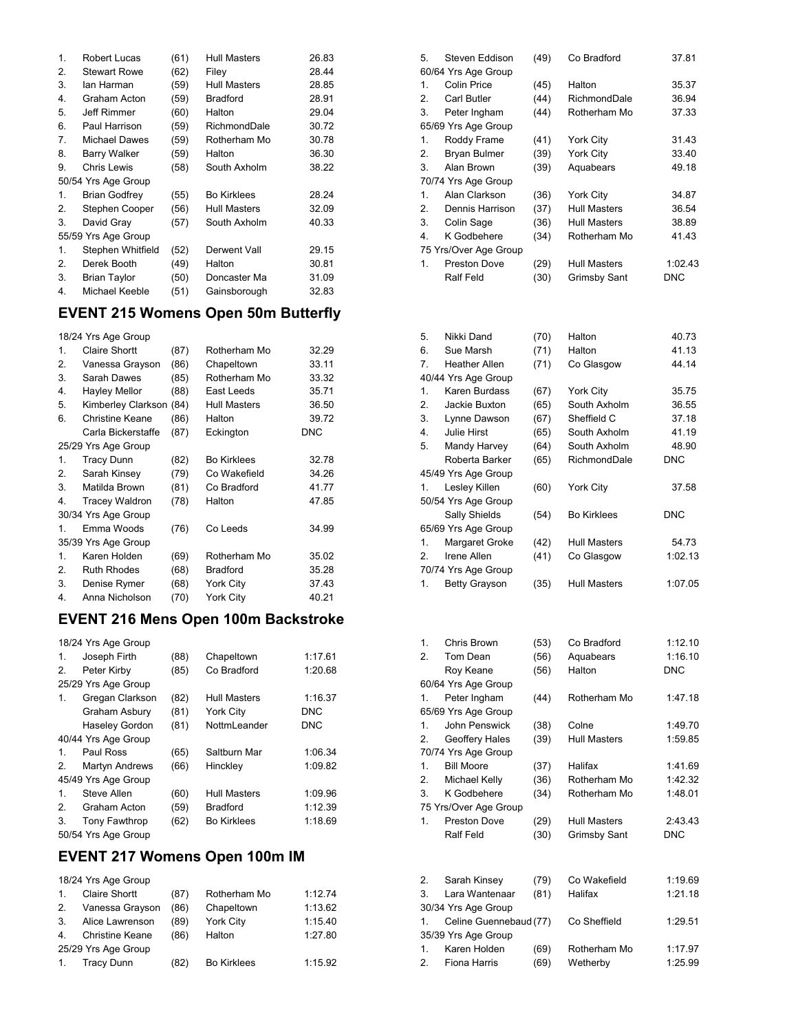| 1. | Robert Lucas         | (61) | <b>Hull Masters</b> | 26.83 |
|----|----------------------|------|---------------------|-------|
| 2. | <b>Stewart Rowe</b>  | (62) | Filey               | 28.44 |
| 3. | lan Harman           | (59) | <b>Hull Masters</b> | 28.85 |
| 4. | Graham Acton         | (59) | <b>Bradford</b>     | 28.91 |
| 5. | Jeff Rimmer          | (60) | Halton              | 29.04 |
| 6. | Paul Harrison        | (59) | RichmondDale        | 30.72 |
| 7. | Michael Dawes        | (59) | Rotherham Mo        | 30.78 |
| 8. | Barry Walker         | (59) | Halton              | 36.30 |
| 9. | Chris Lewis          | (58) | South Axholm        | 38.22 |
|    | 50/54 Yrs Age Group  |      |                     |       |
| 1. | <b>Brian Godfrey</b> | (55) | <b>Bo Kirklees</b>  | 28.24 |
| 2. | Stephen Cooper       | (56) | Hull Masters        | 32.09 |
| 3. | David Gray           | (57) | South Axholm        | 40.33 |
|    | 55/59 Yrs Age Group  |      |                     |       |
| 1. | Stephen Whitfield    | (52) | Derwent Vall        | 29.15 |
| 2. | Derek Booth          | (49) | Halton              | 30.81 |
| 3. | <b>Brian Taylor</b>  | (50) | Doncaster Ma        | 31.09 |
| 4. | Michael Keeble       | (51) | Gainsborough        | 32.83 |
|    |                      |      |                     |       |

## **EVENT 215 Womens Open 50m Butterfly**

|    | 18/24 Yrs Age Group   |      |                     |            |
|----|-----------------------|------|---------------------|------------|
| 1  | Claire Shortt         | (87) | Rotherham Mo        | 32.29      |
| 2. | Vanessa Grayson       | (86) | Chapeltown          | 33.11      |
| 3. | Sarah Dawes           | (85) | Rotherham Mo        | 33.32      |
| 4. | <b>Hayley Mellor</b>  | (88) | East Leeds          | 35.71      |
| 5. | Kimberley Clarkson    | (84) | <b>Hull Masters</b> | 36.50      |
| 6. | Christine Keane       | (86) | Halton              | 39.72      |
|    | Carla Bickerstaffe    | (87) | Eckington           | <b>DNC</b> |
|    | 25/29 Yrs Age Group   |      |                     |            |
| 1. | <b>Tracy Dunn</b>     | (82) | <b>Bo Kirklees</b>  | 32.78      |
| 2. | Sarah Kinsey          | (79) | Co Wakefield        | 34.26      |
| 3. | Matilda Brown         | (81) | Co Bradford         | 41.77      |
| 4. | <b>Tracey Waldron</b> | (78) | Halton              | 47.85      |
|    | 30/34 Yrs Age Group   |      |                     |            |
| 1. | Emma Woods            | (76) | Co Leeds            | 34.99      |
|    | 35/39 Yrs Age Group   |      |                     |            |
| 1. | Karen Holden          | (69) | Rotherham Mo        | 35.02      |
| 2. | <b>Ruth Rhodes</b>    | (68) | <b>Bradford</b>     | 35.28      |
| 3. | Denise Rymer          | (68) | York City           | 37.43      |
| 4. | Anna Nicholson        | (70) | York City           | 40.21      |

# **EVENT 216 Mens Open 100m Backstroke**

|                     | 18/24 Yrs Age Group   |      |                     |            |  |
|---------------------|-----------------------|------|---------------------|------------|--|
| 1.                  | Joseph Firth          | (88) | Chapeltown          | 1:17.61    |  |
| 2.                  | Peter Kirby           | (85) | Co Bradford         | 1:20.68    |  |
|                     | 25/29 Yrs Age Group   |      |                     |            |  |
| 1.                  | Gregan Clarkson       | (82) | Hull Masters        | 1:16.37    |  |
|                     | Graham Asbury         | (81) | York City           | <b>DNC</b> |  |
|                     | <b>Haseley Gordon</b> | (81) | NottmLeander        | <b>DNC</b> |  |
|                     | 40/44 Yrs Age Group   |      |                     |            |  |
| 1.                  | Paul Ross             | (65) | Saltburn Mar        | 1:06.34    |  |
| 2.                  | <b>Martyn Andrews</b> | (66) | Hinckley            | 1:09.82    |  |
|                     | 45/49 Yrs Age Group   |      |                     |            |  |
| 1.                  | Steve Allen           | (60) | <b>Hull Masters</b> | 1:09.96    |  |
| 2.                  | Graham Acton          | (59) | <b>Bradford</b>     | 1:12.39    |  |
| 3.                  | <b>Tony Fawthrop</b>  | (62) | <b>Bo Kirklees</b>  | 1:18.69    |  |
| 50/54 Yrs Age Group |                       |      |                     |            |  |

## **EVENT 217 Womens Open 100m IM**

18/24 Yrs Age Group

| 1 <sup>1</sup>      | <b>Claire Shortt</b>   | (87) | Rotherham Mo       | 1:12.74 |  |
|---------------------|------------------------|------|--------------------|---------|--|
| 2.                  | Vanessa Grayson        | (86) | Chapeltown         | 1:13.62 |  |
| 3.                  | Alice Lawrenson        | (89) | <b>York City</b>   | 1:15.40 |  |
| 4 <sup>1</sup>      | <b>Christine Keane</b> | (86) | Halton             | 1:27.80 |  |
| 25/29 Yrs Age Group |                        |      |                    |         |  |
| 1.                  | <b>Tracy Dunn</b>      | (82) | <b>Bo Kirklees</b> | 1:15.92 |  |

| 5.             | Steven Eddison        | (49) | Co Bradford         | 37.81      |
|----------------|-----------------------|------|---------------------|------------|
|                | 60/64 Yrs Age Group   |      |                     |            |
| $\mathbf{1}$ . | Colin Price           | (45) | Halton              | 35.37      |
| 2.             | Carl Butler           | (44) | RichmondDale        | 36.94      |
| 3.             | Peter Ingham          | (44) | Rotherham Mo        | 37.33      |
|                | 65/69 Yrs Age Group   |      |                     |            |
| 1.             | Roddy Frame           | (41) | York City           | 31.43      |
| 2.             | Bryan Bulmer          | (39) | York City           | 33.40      |
| 3.             | Alan Brown            | (39) | Aquabears           | 49.18      |
|                | 70/74 Yrs Age Group   |      |                     |            |
| 1.             | Alan Clarkson         | (36) | <b>York City</b>    | 34.87      |
| 2.             | Dennis Harrison       | (37) | <b>Hull Masters</b> | 36.54      |
| 3.             | Colin Sage            | (36) | Hull Masters        | 38.89      |
| 4.             | K Godbehere           | (34) | Rotherham Mo        | 41.43      |
|                | 75 Yrs/Over Age Group |      |                     |            |
| 1.             | Preston Dove          | (29) | Hull Masters        | 1:02.43    |
|                | Ralf Feld             | (30) | <b>Grimsby Sant</b> | <b>DNC</b> |
|                |                       |      |                     |            |
|                |                       |      |                     |            |

| 5. | Nikki Dand           | (70) | Halton             | 40.73      |
|----|----------------------|------|--------------------|------------|
| 6. | Sue Marsh            | (71) | Halton             | 41.13      |
| 7. | <b>Heather Allen</b> | (71) | Co Glasgow         | 44.14      |
|    | 40/44 Yrs Age Group  |      |                    |            |
| 1. | Karen Burdass        | (67) | York City          | 35.75      |
| 2. | Jackie Buxton        | (65) | South Axholm       | 36.55      |
| 3. | Lynne Dawson         | (67) | Sheffield C        | 37.18      |
| 4. | Julie Hirst          | (65) | South Axholm       | 41.19      |
| 5. | Mandy Harvey         | (64) | South Axholm       | 48.90      |
|    | Roberta Barker       | (65) | RichmondDale       | <b>DNC</b> |
|    | 45/49 Yrs Age Group  |      |                    |            |
| 1. | Lesley Killen        | (60) | York City          | 37.58      |
|    | 50/54 Yrs Age Group  |      |                    |            |
|    | Sally Shields        | (54) | <b>Bo Kirklees</b> | <b>DNC</b> |
|    | 65/69 Yrs Age Group  |      |                    |            |
| 1. | Margaret Groke       | (42) | Hull Masters       | 54.73      |
| 2. | Irene Allen          | (41) | Co Glasgow         | 1:02.13    |
|    | 70/74 Yrs Age Group  |      |                    |            |
| 1. | <b>Betty Grayson</b> | (35) | Hull Masters       | 1:07.05    |

| 1. | Chris Brown           | (53) | Co Bradford         | 1:12.10    |
|----|-----------------------|------|---------------------|------------|
| 2. | Tom Dean              | (56) | Aquabears           | 1:16.10    |
|    | Roy Keane             | (56) | Halton              | <b>DNC</b> |
|    | 60/64 Yrs Age Group   |      |                     |            |
| 1. | Peter Ingham          | (44) | Rotherham Mo        | 1:47.18    |
|    | 65/69 Yrs Age Group   |      |                     |            |
| 1. | John Penswick         | (38) | Colne               | 1:49.70    |
| 2. | Geoffery Hales        | (39) | <b>Hull Masters</b> | 1:59.85    |
|    | 70/74 Yrs Age Group   |      |                     |            |
| 1. | <b>Bill Moore</b>     | (37) | Halifax             | 1:41.69    |
| 2. | Michael Kelly         | (36) | Rotherham Mo        | 1:42.32    |
| 3. | K Godbehere           | (34) | Rotherham Mo        | 1:48.01    |
|    | 75 Yrs/Over Age Group |      |                     |            |
| 1. | Preston Dove          | (29) | <b>Hull Masters</b> | 2:43.43    |
|    | Ralf Feld             | (30) | <b>Grimsby Sant</b> | <b>DNC</b> |
|    |                       |      |                     |            |

| 2.                  | Sarah Kinsey              | (79) | Co Wakefield | 1:19.69 |  |  |  |
|---------------------|---------------------------|------|--------------|---------|--|--|--|
| 3.                  | Lara Wantenaar            | (81) | Halifax      | 1:21.18 |  |  |  |
|                     | 30/34 Yrs Age Group       |      |              |         |  |  |  |
|                     | 1. Celine Guennebaud (77) |      | Co Sheffield | 1:29.51 |  |  |  |
| 35/39 Yrs Age Group |                           |      |              |         |  |  |  |
| 1 <sub>1</sub>      | Karen Holden              | (69) | Rotherham Mo | 1:17.97 |  |  |  |
| 2.                  | Fiona Harris              | (69) | Wetherby     | 1:25.99 |  |  |  |